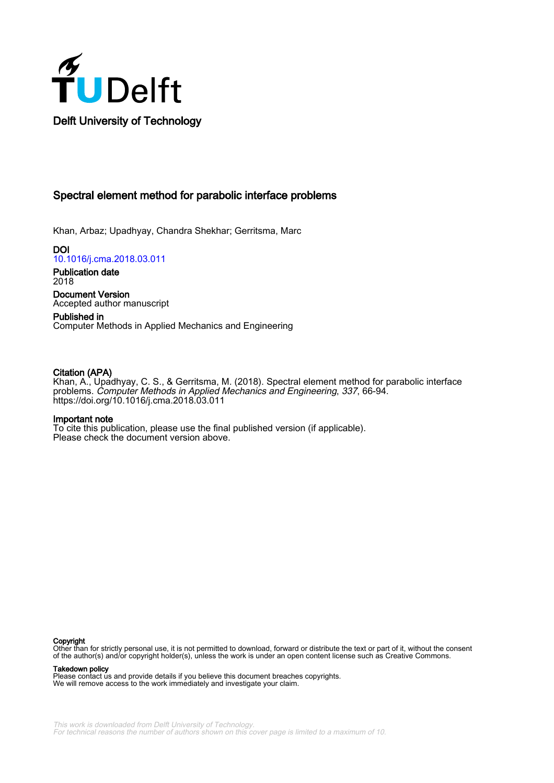

# Spectral element method for parabolic interface problems

Khan, Arbaz; Upadhyay, Chandra Shekhar; Gerritsma, Marc

DOI 10.1016/j.cma.2018.03.011

Publication date 2018 Document Version

Accepted author manuscript

Published in Computer Methods in Applied Mechanics and Engineering

## Citation (APA)

Khan, A., Upadhyay, C. S., & Gerritsma, M. (2018). Spectral element method for parabolic interface problems. Computer Methods in Applied Mechanics and Engineering, 337, 66-94. https://doi.org/10.1016/j.cma.2018.03.011

## Important note

To cite this publication, please use the final published version (if applicable). Please check the document version above.

#### Copyright

Other than for strictly personal use, it is not permitted to download, forward or distribute the text or part of it, without the consent of the author(s) and/or copyright holder(s), unless the work is under an open content license such as Creative Commons.

Takedown policy

Please contact us and provide details if you believe this document breaches copyrights. We will remove access to the work immediately and investigate your claim.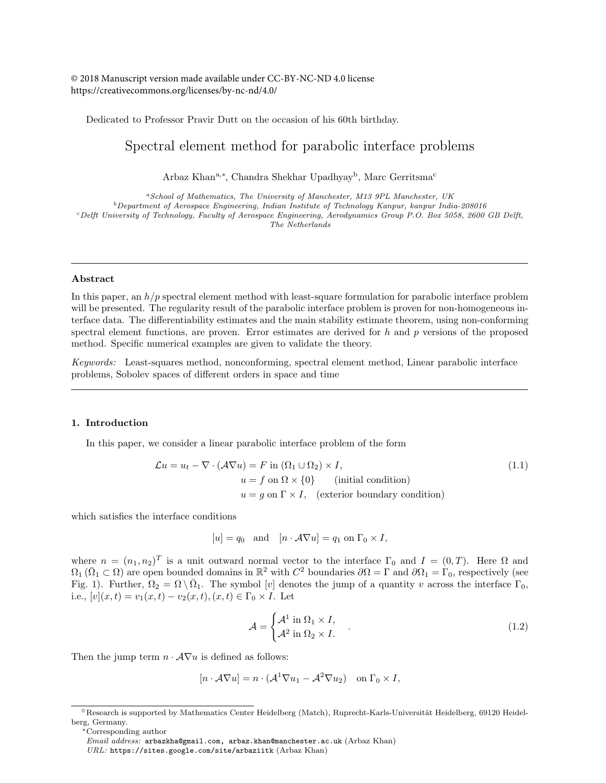© 2018 Manuscript version made available under CC-BY-NC-ND 4.0 license https://creativecommons.org/licenses/by-nc-nd/4.0/

Dedicated to Professor Pravir Dutt on the occasion of his 60th birthday.

# Spectral element method for parabolic interface problems

Arbaz Khan<sup>a,∗</sup>, Chandra Shekhar Upadhyay<sup>b</sup>, Marc Gerritsma<sup>c</sup>

<sup>a</sup>*School of Mathematics, The University of Manchester, M13 9PL Manchester, UK*

<sup>b</sup>*Department of Aerospace Engineering, Indian Institute of Technology Kanpur, kanpur India-208016*

<sup>c</sup>*Delft University of Technology, Faculty of Aerospace Engineering, Aerodynamics Group P.O. Box 5058, 2600 GB Delft,*

## *The Netherlands*

## Abstract

In this paper, an  $h/p$  spectral element method with least-square formulation for parabolic interface problem will be presented. The regularity result of the parabolic interface problem is proven for non-homogeneous interface data. The differentiability estimates and the main stability estimate theorem, using non-conforming spectral element functions, are proven. Error estimates are derived for  $h$  and  $p$  versions of the proposed method. Specific numerical examples are given to validate the theory.

Keywords: Least-squares method, nonconforming, spectral element method, Linear parabolic interface problems, Sobolev spaces of different orders in space and time

#### 1. Introduction

In this paper, we consider a linear parabolic interface problem of the form

$$
\mathcal{L}u = u_t - \nabla \cdot (\mathcal{A}\nabla u) = F \text{ in } (\Omega_1 \cup \Omega_2) \times I,
$$
  
\n
$$
u = f \text{ on } \Omega \times \{0\} \qquad \text{(initial condition)}
$$
  
\n
$$
u = g \text{ on } \Gamma \times I, \quad \text{(exterior boundary condition)}
$$
\n(1.1)

which satisfies the interface conditions

$$
[u] = q_0
$$
 and  $[n \cdot A\nabla u] = q_1$  on  $\Gamma_0 \times I$ ,

where  $n = (n_1, n_2)^T$  is a unit outward normal vector to the interface  $\Gamma_0$  and  $I = (0, T)$ . Here  $\Omega$  and  $\Omega_1$  ( $\overline{\Omega}_1 \subset \Omega$ ) are open bounded domains in  $\mathbb{R}^2$  with  $C^2$  boundaries  $\partial\Omega = \Gamma$  and  $\partial\Omega_1 = \Gamma_0$ , respectively (see Fig. 1). Further,  $\Omega_2 = \Omega \setminus \overline{\Omega}_1$ . The symbol [v] denotes the jump of a quantity v across the interface  $\Gamma_0$ , i.e.,  $[v](x, t) = v_1(x, t) - v_2(x, t), (x, t) \in \Gamma_0 \times I$ . Let

$$
\mathcal{A} = \begin{cases} \mathcal{A}^1 \text{ in } \Omega_1 \times I, \\ \mathcal{A}^2 \text{ in } \Omega_2 \times I. \end{cases} \tag{1.2}
$$

Then the jump term  $n \cdot \mathcal{A} \nabla u$  is defined as follows:

$$
[n \cdot \mathcal{A} \nabla u] = n \cdot (\mathcal{A}^1 \nabla u_1 - \mathcal{A}^2 \nabla u_2) \quad \text{on } \Gamma_0 \times I,
$$

<sup>✩</sup>Research is supported by Mathematics Center Heidelberg (Match), Ruprecht-Karls-Universit¨at Heidelberg, 69120 Heidelberg, Germany.

<sup>∗</sup>Corresponding author

*Email address:* arbazkha@gmail.com, arbaz.khan@manchester.ac.uk (Arbaz Khan)

*URL:* https://sites.google.com/site/arbaziitk (Arbaz Khan)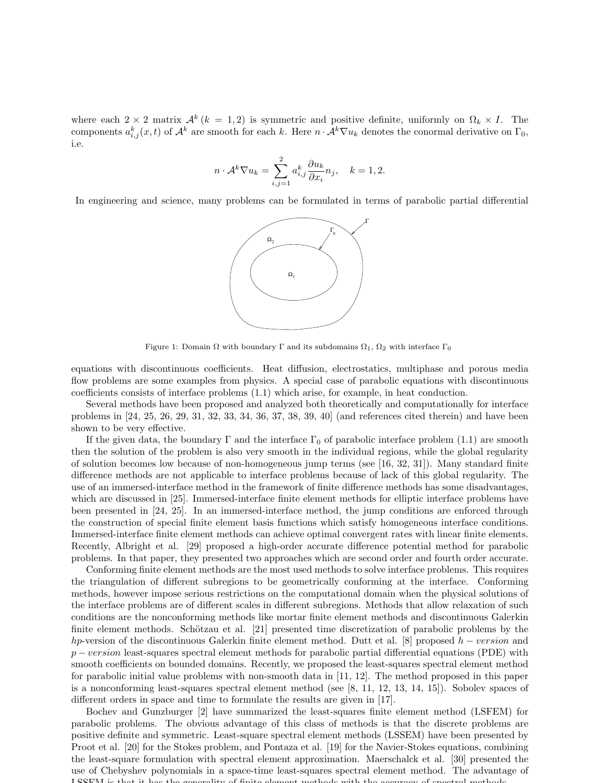where each  $2 \times 2$  matrix  $\mathcal{A}^k$  ( $k = 1, 2$ ) is symmetric and positive definite, uniformly on  $\Omega_k \times I$ . The components  $a_{i,j}^k(x,t)$  of  $\mathcal{A}^k$  are smooth for each k. Here  $n \cdot \mathcal{A}^k \nabla u_k$  denotes the conormal derivative on  $\Gamma_0$ , i.e.

$$
n \cdot \mathcal{A}^k \nabla u_k = \sum_{i,j=1}^2 a_{i,j}^k \frac{\partial u_k}{\partial x_i} n_j, \quad k = 1, 2.
$$

In engineering and science, many problems can be formulated in terms of parabolic partial differential



Figure 1: Domain  $\Omega$  with boundary  $\Gamma$  and its subdomains  $\Omega_1$ ,  $\Omega_2$  with interface  $\Gamma_0$ 

equations with discontinuous coefficients. Heat diffusion, electrostatics, multiphase and porous media flow problems are some examples from physics. A special case of parabolic equations with discontinuous coefficients consists of interface problems (1.1) which arise, for example, in heat conduction.

Several methods have been proposed and analyzed both theoretically and computationally for interface problems in [24, 25, 26, 29, 31, 32, 33, 34, 36, 37, 38, 39, 40] (and references cited therein) and have been shown to be very effective.

If the given data, the boundary  $\Gamma$  and the interface  $\Gamma_0$  of parabolic interface problem (1.1) are smooth then the solution of the problem is also very smooth in the individual regions, while the global regularity of solution becomes low because of non-homogeneous jump terms (see [16, 32, 31]). Many standard finite difference methods are not applicable to interface problems because of lack of this global regularity. The use of an immersed-interface method in the framework of finite difference methods has some disadvantages, which are discussed in [25]. Immersed-interface finite element methods for elliptic interface problems have been presented in [24, 25]. In an immersed-interface method, the jump conditions are enforced through the construction of special finite element basis functions which satisfy homogeneous interface conditions. Immersed-interface finite element methods can achieve optimal convergent rates with linear finite elements. Recently, Albright et al. [29] proposed a high-order accurate difference potential method for parabolic problems. In that paper, they presented two approaches which are second order and fourth order accurate.

Conforming finite element methods are the most used methods to solve interface problems. This requires the triangulation of different subregions to be geometrically conforming at the interface. Conforming methods, however impose serious restrictions on the computational domain when the physical solutions of the interface problems are of different scales in different subregions. Methods that allow relaxation of such conditions are the nonconforming methods like mortar finite element methods and discontinuous Galerkin finite element methods. Schötzau et al.  $[21]$  presented time discretization of parabolic problems by the hp-version of the discontinuous Galerkin finite element method. Dutt et al. [8] proposed  $h - version$  and  $p - version$  least-squares spectral element methods for parabolic partial differential equations (PDE) with smooth coefficients on bounded domains. Recently, we proposed the least-squares spectral element method for parabolic initial value problems with non-smooth data in [11, 12]. The method proposed in this paper is a nonconforming least-squares spectral element method (see [8, 11, 12, 13, 14, 15]). Sobolev spaces of different orders in space and time to formulate the results are given in [17].

Bochev and Gunzburger [2] have summarized the least-squares finite element method (LSFEM) for parabolic problems. The obvious advantage of this class of methods is that the discrete problems are positive definite and symmetric. Least-square spectral element methods (LSSEM) have been presented by Proot et al. [20] for the Stokes problem, and Pontaza et al. [19] for the Navier-Stokes equations, combining the least-square formulation with spectral element approximation. Maerschalck et al. [30] presented the use of Chebyshev polynomials in a space-time least-squares spectral element method. The advantage of LSSEM is that it has the generality of finite element methods with the accuracy of spectral methods.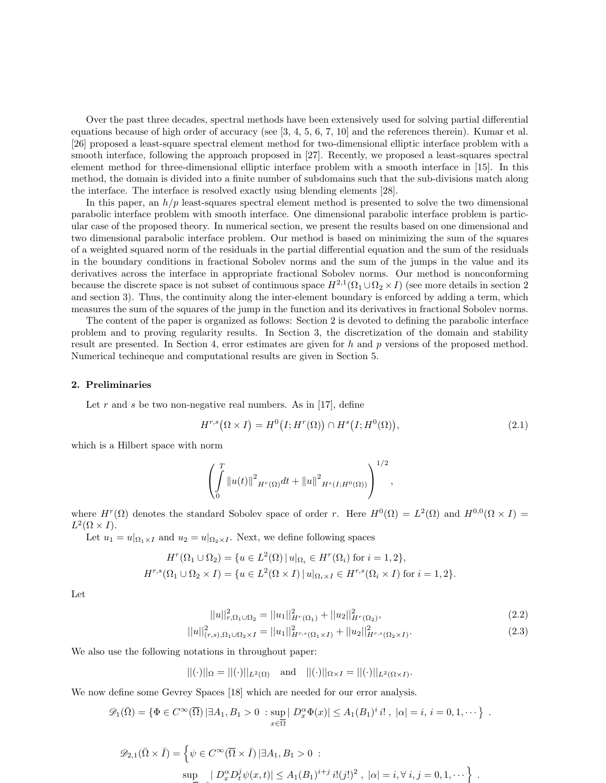Over the past three decades, spectral methods have been extensively used for solving partial differential equations because of high order of accuracy (see [3, 4, 5, 6, 7, 10] and the references therein). Kumar et al. [26] proposed a least-square spectral element method for two-dimensional elliptic interface problem with a smooth interface, following the approach proposed in [27]. Recently, we proposed a least-squares spectral element method for three-dimensional elliptic interface problem with a smooth interface in [15]. In this method, the domain is divided into a finite number of subdomains such that the sub-divisions match along the interface. The interface is resolved exactly using blending elements [28].

In this paper, an  $h/p$  least-squares spectral element method is presented to solve the two dimensional parabolic interface problem with smooth interface. One dimensional parabolic interface problem is particular case of the proposed theory. In numerical section, we present the results based on one dimensional and two dimensional parabolic interface problem. Our method is based on minimizing the sum of the squares of a weighted squared norm of the residuals in the partial differential equation and the sum of the residuals in the boundary conditions in fractional Sobolev norms and the sum of the jumps in the value and its derivatives across the interface in appropriate fractional Sobolev norms. Our method is nonconforming because the discrete space is not subset of continuous space  $H^{2,1}(\Omega_1 \cup \Omega_2 \times I)$  (see more details in section 2 and section 3). Thus, the continuity along the inter-element boundary is enforced by adding a term, which measures the sum of the squares of the jump in the function and its derivatives in fractional Sobolev norms.

The content of the paper is organized as follows: Section 2 is devoted to defining the parabolic interface problem and to proving regularity results. In Section 3, the discretization of the domain and stability result are presented. In Section 4, error estimates are given for h and p versions of the proposed method. Numerical techineque and computational results are given in Section 5.

#### 2. Preliminaries

Let r and s be two non-negative real numbers. As in [17], define

$$
H^{r,s}(\Omega \times I) = H^0(I; H^r(\Omega)) \cap H^s(I; H^0(\Omega)), \tag{2.1}
$$

which is a Hilbert space with norm

$$
\left(\int_{0}^{T} \|u(t)\|^{2} {}_{H^{r}(\Omega)} dt + \|u\|^{2} {}_{H^{s}(I;H^{0}(\Omega))}\right)^{1/2},
$$

where  $H^r(\Omega)$  denotes the standard Sobolev space of order r. Here  $H^0(\Omega) = L^2(\Omega)$  and  $H^{0,0}(\Omega \times I) =$  $L^2(\Omega \times I).$ 

Let  $u_1 = u|_{\Omega_1 \times I}$  and  $u_2 = u|_{\Omega_2 \times I}$ . Next, we define following spaces

$$
H^r(\Omega_1 \cup \Omega_2) = \{ u \in L^2(\Omega) \mid u|_{\Omega_i} \in H^r(\Omega_i) \text{ for } i = 1, 2 \},
$$
  

$$
H^{r,s}(\Omega_1 \cup \Omega_2 \times I) = \{ u \in L^2(\Omega \times I) \mid u|_{\Omega_i \times I} \in H^{r,s}(\Omega_i \times I) \text{ for } i = 1, 2 \}.
$$

Let

$$
||u||_{r,\Omega_1 \cup \Omega_2}^2 = ||u_1||_{H^r(\Omega_1)}^2 + ||u_2||_{H^r(\Omega_2)}^2,
$$
\n(2.2)

$$
||u||_{(r,s),\Omega_1\cup\Omega_2\times I}^2 = ||u_1||_{H^{r,s}(\Omega_1\times I)}^2 + ||u_2||_{H^{r,s}(\Omega_2\times I)}^2.
$$
\n(2.3)

We also use the following notations in throughout paper:

 $||(\cdot)||_{\Omega} = ||(\cdot)||_{L^2(\Omega)} \text{ and } ||(\cdot)||_{\Omega \times I} = ||(\cdot)||_{L^2(\Omega \times I)}.$ 

We now define some Gevrey Spaces [18] which are needed for our error analysis.

$$
\mathscr{D}_1(\overline{\Omega}) = \{ \Phi \in C^{\infty}(\overline{\Omega}) \, | \exists A_1, B_1 > 0 \, : \, \sup_{x \in \overline{\Omega}} |D_x^{\alpha} \Phi(x)| \le A_1(B_1)^i \, i!, \, |\alpha| = i, \, i = 0, 1, \cdots \} \, .
$$

$$
\mathcal{D}_{2,1}(\bar{\Omega}\times\bar{I}) = \left\{\psi \in C^{\infty}(\bar{\Omega}\times\bar{I}) \mid \exists A_1, B_1 > 0 \; : \; \text{sup}_{\bar{\Omega}} \left|D_x^{\alpha} D_t^j \psi(x,t)\right| \leq A_1 (B_1)^{i+j} i!(j!)^2 \; , \; |\alpha| = i, \forall \; i, j = 0, 1, \cdots \right\} \; .
$$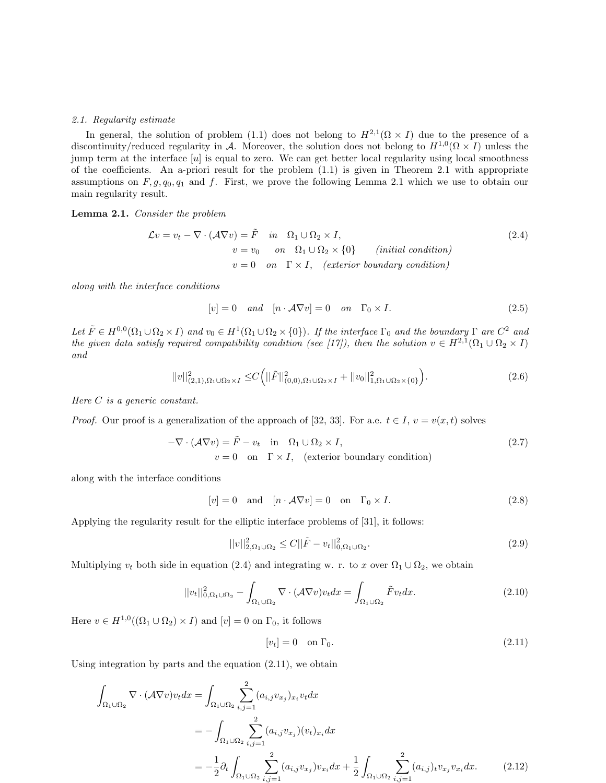#### 2.1. Regularity estimate

In general, the solution of problem (1.1) does not belong to  $H^{2,1}(\Omega \times I)$  due to the presence of a discontinuity/reduced regularity in A. Moreover, the solution does not belong to  $H^{1,0}(\Omega \times I)$  unless the jump term at the interface  $[u]$  is equal to zero. We can get better local regularity using local smoothness of the coefficients. An a-priori result for the problem (1.1) is given in Theorem 2.1 with appropriate assumptions on  $F, g, q_0, q_1$  and f. First, we prove the following Lemma 2.1 which we use to obtain our main regularity result.

Lemma 2.1. Consider the problem

$$
\mathcal{L}v = v_t - \nabla \cdot (\mathcal{A}\nabla v) = \tilde{F} \quad in \quad \Omega_1 \cup \Omega_2 \times I,
$$
  
\n
$$
v = v_0 \quad on \quad \Omega_1 \cup \Omega_2 \times \{0\} \quad (initial condition)
$$
  
\n
$$
v = 0 \quad on \quad \Gamma \times I, \quad (exterior boundary condition)
$$

along with the interface conditions

$$
[v] = 0 \quad and \quad [n \cdot \mathcal{A} \nabla v] = 0 \quad on \quad \Gamma_0 \times I. \tag{2.5}
$$

Let  $\tilde{F} \in H^{0,0}(\Omega_1 \cup \Omega_2 \times I)$  and  $v_0 \in H^1(\Omega_1 \cup \Omega_2 \times \{0\})$ . If the interface  $\Gamma_0$  and the boundary  $\Gamma$  are  $C^2$  and the given data satisfy required compatibility condition (see [17]), then the solution  $v \in H^{2,1}(\Omega_1 \cup \Omega_2 \times I)$ and

$$
||v||_{(2,1),\Omega_1\cup\Omega_2\times I}^2 \leq C\Big(||\tilde{F}||_{(0,0),\Omega_1\cup\Omega_2\times I}^2 + ||v_0||_{1,\Omega_1\cup\Omega_2\times\{0\}}^2\Big).
$$
\n(2.6)

Here C is a generic constant.

*Proof.* Our proof is a generalization of the approach of [32, 33]. For a.e.  $t \in I$ ,  $v = v(x, t)$  solves

$$
-\nabla \cdot (\mathcal{A}\nabla v) = \tilde{F} - v_t \quad \text{in} \quad \Omega_1 \cup \Omega_2 \times I,
$$
  
\n
$$
v = 0 \quad \text{on} \quad \Gamma \times I, \quad \text{(exterior boundary condition)}
$$
\n(2.7)

along with the interface conditions

$$
[v] = 0 \quad \text{and} \quad [n \cdot \mathcal{A} \nabla v] = 0 \quad \text{on} \quad \Gamma_0 \times I. \tag{2.8}
$$

Applying the regularity result for the elliptic interface problems of [31], it follows:

$$
||v||_{2,\Omega_1\cup\Omega_2}^2 \le C||\tilde{F} - v_t||_{0,\Omega_1\cup\Omega_2}^2.
$$
\n(2.9)

Multiplying  $v_t$  both side in equation (2.4) and integrating w. r. to x over  $\Omega_1 \cup \Omega_2$ , we obtain

$$
||v_t||_{0,\Omega_1\cup\Omega_2}^2 - \int_{\Omega_1\cup\Omega_2} \nabla \cdot (\mathcal{A}\nabla v)v_t dx = \int_{\Omega_1\cup\Omega_2} \tilde{F}v_t dx.
$$
 (2.10)

Here  $v \in H^{1,0}((\Omega_1 \cup \Omega_2) \times I)$  and  $[v] = 0$  on  $\Gamma_0$ , it follows

$$
[v_t] = 0 \quad \text{on } \Gamma_0. \tag{2.11}
$$

Using integration by parts and the equation (2.11), we obtain

$$
\int_{\Omega_{1}\cup\Omega_{2}} \nabla \cdot (\mathcal{A}\nabla v)v_{t} dx = \int_{\Omega_{1}\cup\Omega_{2}} \sum_{i,j=1}^{2} (a_{i,j}v_{x_{j}})_{x_{i}} v_{t} dx \n= -\int_{\Omega_{1}\cup\Omega_{2}} \sum_{i,j=1}^{2} (a_{i,j}v_{x_{j}})(v_{t})_{x_{i}} dx \n= -\frac{1}{2} \partial_{t} \int_{\Omega_{1}\cup\Omega_{2}} \sum_{i,j=1}^{2} (a_{i,j}v_{x_{j}}) v_{x_{i}} dx + \frac{1}{2} \int_{\Omega_{1}\cup\Omega_{2}} \sum_{i,j=1}^{2} (a_{i,j})_{t} v_{x_{j}} v_{x_{i}} dx.
$$
\n(2.12)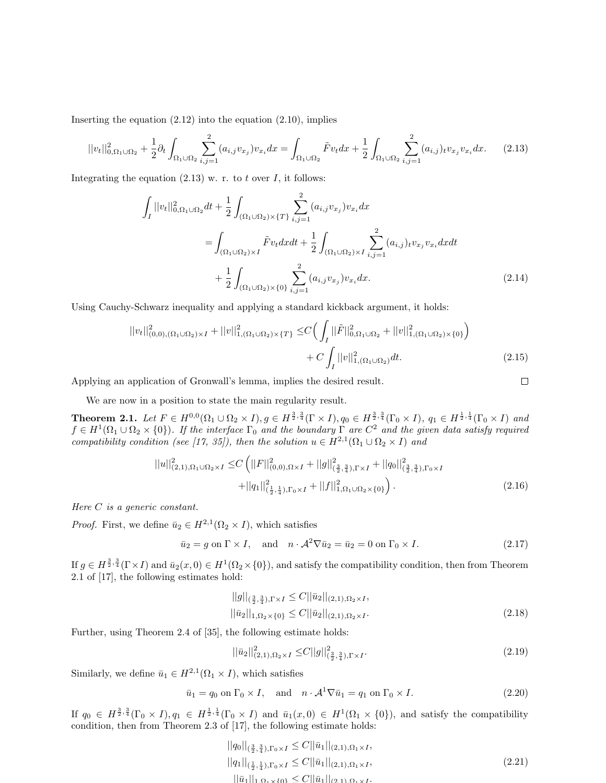Inserting the equation  $(2.12)$  into the equation  $(2.10)$ , implies

$$
||v_t||_{0,\Omega_1\cup\Omega_2}^2 + \frac{1}{2}\partial_t \int_{\Omega_1\cup\Omega_2} \sum_{i,j=1}^2 (a_{i,j}v_{x_j})v_{x_i} dx = \int_{\Omega_1\cup\Omega_2} \tilde{F}v_t dx + \frac{1}{2} \int_{\Omega_1\cup\Omega_2} \sum_{i,j=1}^2 (a_{i,j})_t v_{x_j} v_{x_i} dx. \tag{2.13}
$$

Integrating the equation  $(2.13)$  w. r. to t over I, it follows:

$$
\int_{I} ||v_{t}||_{0,\Omega_{1}\cup\Omega_{2}}^{2} dt + \frac{1}{2} \int_{(\Omega_{1}\cup\Omega_{2})\times\{T\}} \sum_{i,j=1}^{2} (a_{i,j}v_{x_{j}})v_{x_{i}} dx
$$
\n
$$
= \int_{(\Omega_{1}\cup\Omega_{2})\times I} \tilde{F}v_{t} dx dt + \frac{1}{2} \int_{(\Omega_{1}\cup\Omega_{2})\times I} \sum_{i,j=1}^{2} (a_{i,j})_{t}v_{x_{j}} v_{x_{i}} dx dt + \frac{1}{2} \int_{(\Omega_{1}\cup\Omega_{2})\times\{0\}} \sum_{i,j=1}^{2} (a_{i,j}v_{x_{j}})v_{x_{i}} dx.
$$
\n(2.14)

Using Cauchy-Schwarz inequality and applying a standard kickback argument, it holds:

$$
||v_t||_{(0,0),(\Omega_1 \cup \Omega_2) \times I}^2 + ||v||_{1,(\Omega_1 \cup \Omega_2) \times \{T\}}^2 \leq C \Big( \int_I ||\tilde{F}||_{0,\Omega_1 \cup \Omega_2}^2 + ||v||_{1,(\Omega_1 \cup \Omega_2) \times \{0\}}^2 \Big) + C \int_I ||v||_{1,(\Omega_1 \cup \Omega_2)}^2 dt.
$$
 (2.15)

Applying an application of Gronwall's lemma, implies the desired result.

We are now in a position to state the main regularity result.

**Theorem 2.1.** Let  $F \in H^{0,0}(\Omega_1 \cup \Omega_2 \times I), g \in H^{\frac{3}{2},\frac{3}{4}}(\Gamma \times I), q_0 \in H^{\frac{3}{2},\frac{3}{4}}(\Gamma_0 \times I), q_1 \in H^{\frac{1}{2},\frac{1}{4}}(\Gamma_0 \times I)$  and  $f \in H^1(\Omega_1 \cup \Omega_2 \times \{0\})$ . If the interface  $\Gamma_0$  and the boundary  $\Gamma$  are  $C^2$  and the given data satisfy required compatibility condition (see [17, 35]), then the solution  $u \in H^{2,1}(\Omega_1 \cup \Omega_2 \times I)$  and

$$
||u||_{(2,1),\Omega_1\cup\Omega_2\times I}^2 \leq C \left( ||F||_{(0,0),\Omega\times I}^2 + ||g||_{(\frac{3}{2},\frac{3}{4}),\Gamma\times I}^2 + ||q_0||_{(\frac{3}{2},\frac{3}{4}),\Gamma_0\times I}^2 + ||q_1||_{(\frac{1}{2},\frac{1}{4}),\Gamma_0\times I}^2 + ||f||_{1,\Omega_1\cup\Omega_2\times\{0\}}^2 \right).
$$
\n(2.16)

Here C is a generic constant.

*Proof.* First, we define  $\bar{u}_2 \in H^{2,1}(\Omega_2 \times I)$ , which satisfies

$$
\bar{u}_2 = g \text{ on } \Gamma \times I, \quad \text{and} \quad n \cdot \mathcal{A}^2 \nabla \bar{u}_2 = \bar{u}_2 = 0 \text{ on } \Gamma_0 \times I. \tag{2.17}
$$

If  $g \in H^{\frac{3}{2},\frac{3}{4}}(\Gamma \times I)$  and  $\bar{u}_2(x,0) \in H^1(\Omega_2 \times \{0\})$ , and satisfy the compatibility condition, then from Theorem 2.1 of [17], the following estimates hold:

$$
||g||_{(\frac{3}{2},\frac{3}{4}),\Gamma\times I} \leq C||\bar{u}_2||_{(2,1),\Omega_2\times I},
$$
  
\n
$$
||\bar{u}_2||_{1,\Omega_2\times\{0\}} \leq C||\bar{u}_2||_{(2,1),\Omega_2\times I}.
$$
\n(2.18)

 $\Box$ 

Further, using Theorem 2.4 of [35], the following estimate holds:

$$
||\bar{u}_2||^2_{(2,1),\Omega_2\times I} \leq C||g||^2_{(\frac{3}{2},\frac{3}{4}),\Gamma\times I}.
$$
\n(2.19)

Similarly, we define  $\bar{u}_1 \in H^{2,1}(\Omega_1 \times I)$ , which satisfies

$$
\bar{u}_1 = q_0 \text{ on } \Gamma_0 \times I, \quad \text{and} \quad n \cdot \mathcal{A}^1 \nabla \bar{u}_1 = q_1 \text{ on } \Gamma_0 \times I. \tag{2.20}
$$

If  $q_0 \in H^{\frac{3}{2},\frac{3}{4}}(\Gamma_0 \times I), q_1 \in H^{\frac{1}{2},\frac{1}{4}}(\Gamma_0 \times I)$  and  $\bar{u}_1(x,0) \in H^1(\Omega_1 \times \{0\}),$  and satisfy the compatibility condition, then from Theorem 2.3 of [17], the following estimate holds:

$$
||q_{0}||_{(\frac{3}{2},\frac{3}{4}),\Gamma_{0}\times I} \leq C||\bar{u}_{1}||_{(2,1),\Omega_{1}\times I},
$$
  
\n
$$
||q_{1}||_{(\frac{1}{2},\frac{1}{4}),\Gamma_{0}\times I} \leq C||\bar{u}_{1}||_{(2,1),\Omega_{1}\times I},
$$
  
\n
$$
||\bar{u}_{1}||_{1,\Omega_{1}\times I_{0}1} \leq C||\bar{u}_{1}||_{(2,1),\Omega_{1}\times I}.
$$
\n(2.21)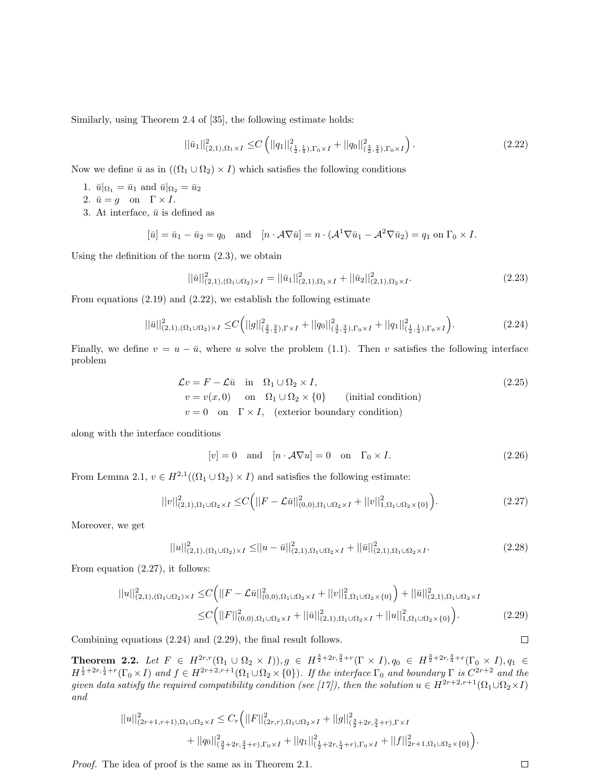Similarly, using Theorem 2.4 of [35], the following estimate holds:

$$
||\bar{u}_1||_{(2,1),\Omega_1\times I}^2 \leq C \left( ||q_1||^2_{(\frac{1}{2},\frac{1}{4}),\Gamma_0\times I} + ||q_0||^2_{(\frac{3}{2},\frac{3}{4}),\Gamma_0\times I} \right).
$$
\n(2.22)

Now we define  $\bar{u}$  as in  $((\Omega_1 \cup \Omega_2) \times I)$  which satisfies the following conditions

- 1.  $\bar{u}|_{\Omega_1} = \bar{u}_1$  and  $\bar{u}|_{\Omega_2} = \bar{u}_2$
- 2.  $\bar{u} = g$  on  $\Gamma \times I$ .
- 3. At interface,  $\bar{u}$  is defined as

$$
[\bar{u}] = \bar{u}_1 - \bar{u}_2 = q_0 \quad \text{and} \quad [n \cdot \mathcal{A} \nabla \bar{u}] = n \cdot (\mathcal{A}^1 \nabla \bar{u}_1 - \mathcal{A}^2 \nabla \bar{u}_2) = q_1 \text{ on } \Gamma_0 \times I.
$$

Using the definition of the norm (2.3), we obtain

$$
||\bar{u}||_{(2,1),(\Omega_1 \cup \Omega_2) \times I}^2 = ||\bar{u}_1||_{(2,1),\Omega_1 \times I}^2 + ||\bar{u}_2||_{(2,1),\Omega_2 \times I}^2.
$$
\n(2.23)

From equations (2.19) and (2.22), we establish the following estimate

$$
||\bar{u}||_{(2,1),(\Omega_1 \cup \Omega_2) \times I}^2 \leq C \Big(||g||_{(\frac{3}{2},\frac{3}{4}),\Gamma \times I}^2 + ||q_0||_{(\frac{3}{2},\frac{3}{4}),\Gamma_0 \times I}^2 + ||q_1||_{(\frac{1}{2},\frac{1}{4}),\Gamma_0 \times I}^2\Big).
$$
 (2.24)

Finally, we define  $v = u - \bar{u}$ , where u solve the problem (1.1). Then v satisfies the following interface problem

$$
\mathcal{L}v = F - \mathcal{L}\bar{u} \quad \text{in} \quad \Omega_1 \cup \Omega_2 \times I,
$$
  
\n
$$
v = v(x, 0) \quad \text{on} \quad \Omega_1 \cup \Omega_2 \times \{0\} \quad \text{(initial condition)}
$$
  
\n
$$
v = 0 \quad \text{on} \quad \Gamma \times I, \quad \text{(exterior boundary condition)}
$$
\n(2.25)

along with the interface conditions

$$
[v] = 0 \quad \text{and} \quad [n \cdot \mathcal{A} \nabla u] = 0 \quad \text{on} \quad \Gamma_0 \times I. \tag{2.26}
$$

From Lemma 2.1,  $v \in H^{2,1}((\Omega_1 \cup \Omega_2) \times I)$  and satisfies the following estimate:

$$
||v||_{(2,1),\Omega_1\cup\Omega_2\times I}^2 \leq C\Big(||F-\mathcal{L}\bar{u}||_{(0,0),\Omega_1\cup\Omega_2\times I}^2 + ||v||_{1,\Omega_1\cup\Omega_2\times\{0\}}^2\Big).
$$
\n(2.27)

Moreover, we get

$$
||u||_{(2,1),(\Omega_1 \cup \Omega_2) \times I}^2 \le ||u - \bar{u}||_{(2,1),\Omega_1 \cup \Omega_2 \times I}^2 + ||\bar{u}||_{(2,1),\Omega_1 \cup \Omega_2 \times I}^2.
$$
\n(2.28)

From equation (2.27), it follows:

$$
||u||_{(2,1),(\Omega_1\cup\Omega_2)\times I}^2 \leq C\Big(||F-\mathcal{L}\bar{u}||_{(0,0),\Omega_1\cup\Omega_2\times I}^2 + ||v||_{1,\Omega_1\cup\Omega_2\times\{0\}}^2\Big) + ||\bar{u}||_{(2,1),\Omega_1\cup\Omega_2\times I}^2
$$
  
 
$$
\leq C\Big(||F||_{(0,0),\Omega_1\cup\Omega_2\times I}^2 + ||\bar{u}||_{(2,1),\Omega_1\cup\Omega_2\times I}^2 + ||u||_{1,\Omega_1\cup\Omega_2\times\{0\}}^2\Big).
$$
 (2.29)

Combining equations (2.24) and (2.29), the final result follows.

Theorem 2.2. Let  $F \in H^{2r,r}(\Omega_1 \cup \Omega_2 \times I)), g \in H^{\frac{3}{2}+2r,\frac{3}{4}+r}(\Gamma \times I), q_0 \in H^{\frac{3}{2}+2r,\frac{3}{4}+r}(\Gamma_0 \times I), q_1 \in$  $H^{\frac{1}{2}+2r,\frac{1}{4}+r}(\Gamma_0\times I)$  and  $f\in H^{2r+2,r+1}(\Omega_1\cup\Omega_2\times\{0\})$ . If the interface  $\Gamma_0$  and boundary  $\Gamma$  is  $C^{2r+2}$  and the given data satisfy the required compatibility condition (see [17]), then the solution  $u \in H^{2r+2,r+1}(\Omega_1 \cup \Omega_2 \times I)$ and

$$
||u||_{(2r+1,r+1),\Omega_1\cup\Omega_2\times I}^2 \leq C_r \Big(||F||_{(2r,r),\Omega_1\cup\Omega_2\times I}^2 + ||g||_{(\frac{3}{2}+2r,\frac{3}{4}+r),\Gamma\times I}^2 + ||g_0||_{(\frac{3}{2}+2r,\frac{3}{4}+r),\Gamma_0\times I}^2 + ||q_1||_{(\frac{1}{2}+2r,\frac{1}{4}+r),\Gamma_0\times I}^2 + ||f||_{2r+1,\Omega_1\cup\Omega_2\times\{0\}}^2\Big).
$$

Proof. The idea of proof is the same as in Theorem 2.1.

 $\Box$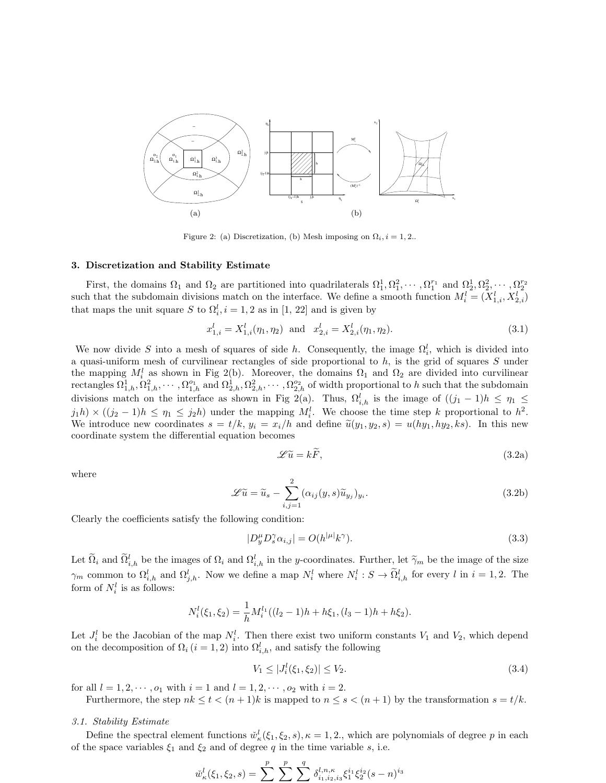

Figure 2: (a) Discretization, (b) Mesh imposing on  $\Omega_i$ ,  $i = 1, 2$ ..

#### 3. Discretization and Stability Estimate

First, the domains  $\Omega_1$  and  $\Omega_2$  are partitioned into quadrilaterals  $\Omega_1^1, \Omega_1^2, \cdots, \Omega_1^{r_1}$  and  $\Omega_2^1, \Omega_2^2, \cdots, \Omega_2^{r_2}$ <br>such that the subdomain divisions match on the interface. We define a smooth functio that maps the unit square S to  $\Omega_i^l$ ,  $i = 1, 2$  as in [1, 22] and is given by

$$
x_{1,i}^l = X_{1,i}^l(\eta_1, \eta_2) \text{ and } x_{2,i}^l = X_{2,i}^l(\eta_1, \eta_2). \tag{3.1}
$$

We now divide S into a mesh of squares of side h. Consequently, the image  $\Omega_i^l$ , which is divided into a quasi-uniform mesh of curvilinear rectangles of side proportional to  $h$ , is the grid of squares  $S$  under the mapping  $M_i^l$  as shown in Fig 2(b). Moreover, the domains  $\Omega_1$  and  $\Omega_2$  are divided into curvilinear rectangles  $\Omega_{1,h}^1, \Omega_{1,h}^2, \cdots, \Omega_{1,h}^{o_1}$  and  $\Omega_{2,h}^1, \Omega_{2,h}^2, \cdots, \Omega_{2,h}^{o_2}$  of width proportional to h such that the subdomain divisions match on the interface as shown in Fig 2(a). Thus,  $\Omega_{i,h}^l$  is the image of  $((j_1 - 1)h \le \eta_1 \le$  $j_1h \to ((j_2-1)h \leq \eta_1 \leq j_2h)$  under the mapping  $M_i^l$ . We choose the time step k proportional to  $h^2$ . We introduce new coordinates  $s = t/k$ ,  $y_i = x_i/h$  and define  $\tilde{u}(y_1, y_2, s) = u(hy_1, hy_2, ks)$ . In this new coordinate system the differential equation becomes

$$
\mathscr{L}\tilde{u} = k\tilde{F},\tag{3.2a}
$$

where

$$
\mathscr{L}\widetilde{u} = \widetilde{u}_s - \sum_{i,j=1}^2 (\alpha_{ij}(y,s)\widetilde{u}_{y_j})_{y_i}.
$$
\n(3.2b)

Clearly the coefficients satisfy the following condition:

$$
|D_y^{\mu} D_s^{\gamma} \alpha_{i,j}| = O(h^{|\mu|} k^{\gamma}). \tag{3.3}
$$

Let  $\Omega_i$  and  $\Omega_{i,h}^l$  be the images of  $\Omega_i$  and  $\Omega_{i,h}^l$  in the y-coordinates. Further, let  $\widetilde{\gamma}_m$  be the image of the size  $\gamma_m$  common to  $\Omega_{i,h}^l$  and  $\Omega_{j,h}^l$ . Now we define a map  $N_i^l$  where  $N_i^l : S \to \Omega_{i,h}^l$  for every l in  $i = 1,2$ . The form of  $N_i^l$  is as follows:

$$
N_i^l(\xi_1, \xi_2) = \frac{1}{h} M_i^{l_1} ((l_2 - 1)h + h\xi_1, (l_3 - 1)h + h\xi_2).
$$

Let  $J_i^l$  be the Jacobian of the map  $N_i^l$ . Then there exist two uniform constants  $V_1$  and  $V_2$ , which depend on the decomposition of  $\Omega_i$  ( $i = 1, 2$ ) into  $\Omega_{i,h}^l$ , and satisfy the following

$$
V_1 \le |J_i^l(\xi_1, \xi_2)| \le V_2. \tag{3.4}
$$

for all  $l = 1, 2, \dots, o_1$  with  $i = 1$  and  $l = 1, 2, \dots, o_2$  with  $i = 2$ .

Furthermore, the step  $nk \leq t < (n+1)k$  is mapped to  $n \leq s < (n+1)$  by the transformation  $s = t/k$ .

### 3.1. Stability Estimate

Define the spectral element functions  $\tilde{w}_k^l(\xi_1, \xi_2, s), \kappa = 1, 2$ , which are polynomials of degree p in each of the space variables  $\xi_1$  and  $\xi_2$  and of degree q in the time variable s, i.e.

$$
\check{w}^l_{\kappa}(\xi_1,\xi_2,s)=\sum^{p}\,\sum^{p}\,\sum^{q}\,\delta^{l,n,\kappa}_{i_1,i_2,i_3}\xi_1^{i_1}\xi_2^{i_2}(s-n)^{i_3}
$$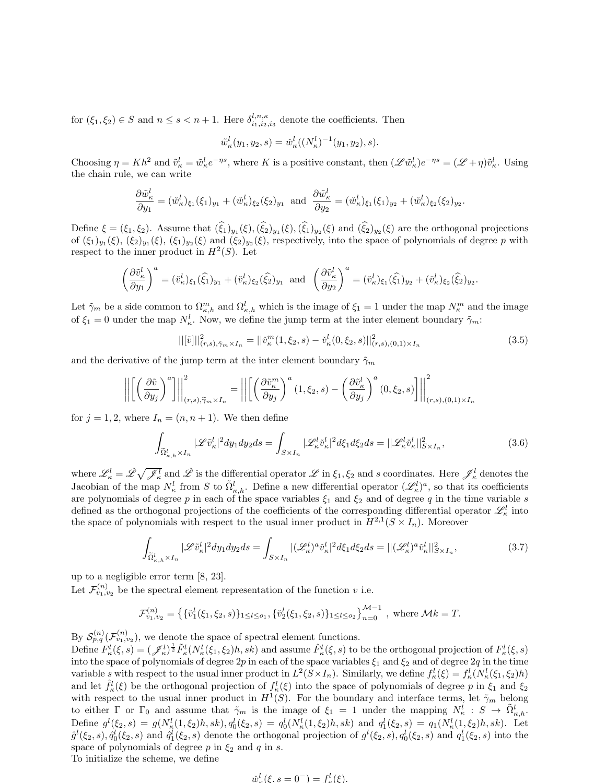for  $(\xi_1, \xi_2) \in S$  and  $n \leq s < n+1$ . Here  $\delta_{i_1, i_2, i_3}^{l, n, \kappa}$  denote the coefficients. Then

$$
\tilde{w}^l_{\kappa}(y_1, y_2, s) = \tilde{w}^l_{\kappa}((N^l_{\kappa})^{-1}(y_1, y_2), s).
$$

Choosing  $\eta = Kh^2$  and  $\tilde{v}_k^l = \tilde{w}_k^l e^{-\eta s}$ , where K is a positive constant, then  $(\mathscr{L}\tilde{w}_k^l)e^{-\eta s} = (\mathscr{L} + \eta)\tilde{v}_k^l$ . Using the chain rule, we can write

$$
\frac{\partial \tilde{w}_k^l}{\partial y_1} = (\tilde{w}_k^l)_{\xi_1} (\xi_1)_{y_1} + (\tilde{w}_k^l)_{\xi_2} (\xi_2)_{y_1} \text{ and } \frac{\partial \tilde{w}_k^l}{\partial y_2} = (\tilde{w}_k^l)_{\xi_1} (\xi_1)_{y_2} + (\tilde{w}_k^l)_{\xi_2} (\xi_2)_{y_2}
$$

Define  $\xi = (\xi_1, \xi_2)$ . Assume that  $(\xi_1)_{y_1}(\xi), (\xi_2)_{y_1}(\xi), (\xi_1)_{y_2}(\xi)$  and  $(\xi_2)_{y_2}(\xi)$  are the orthogonal projections of  $(\xi_1)_{y_1}(\xi)$ ,  $(\xi_2)_{y_1}(\xi)$ ,  $(\xi_1)_{y_2}(\xi)$  and  $(\xi_2)_{y_2}(\xi)$ , respectively, into the space of polynomials of degree p with respect to the inner product in  $H^2(S)$ . Let

$$
\left(\frac{\partial \tilde{v}_{\kappa}^{l}}{\partial y_{1}}\right)^{a} = (\tilde{v}_{\kappa}^{l})_{\xi_{1}}(\hat{\xi}_{1})_{y_{1}} + (\tilde{v}_{\kappa}^{l})_{\xi_{2}}(\hat{\xi}_{2})_{y_{1}} \text{ and } \left(\frac{\partial \tilde{v}_{\kappa}^{l}}{\partial y_{2}}\right)^{a} = (\tilde{v}_{\kappa}^{l})_{\xi_{1}}(\hat{\xi}_{1})_{y_{2}} + (\tilde{v}_{\kappa}^{l})_{\xi_{2}}(\hat{\xi}_{2})_{y_{2}}.
$$

Let  $\tilde{\gamma}_m$  be a side common to  $\Omega_{\kappa,h}^m$  and  $\Omega_{\kappa,h}^l$  which is the image of  $\xi_1 = 1$  under the map  $N_{\kappa}^m$  and the image of  $\xi_1 = 0$  under the map  $N_k^l$ . Now, we define the jump term at the inter element boundary  $\tilde{\gamma}_m$ :

$$
||[\tilde{v}]]|_{(r,s),\tilde{\gamma}_m \times I_n}^2 = ||\tilde{v}_\kappa^m(1,\xi_2,s) - \tilde{v}_\kappa^l(0,\xi_2,s)||_{(r,s),(0,1)\times I_n}^2
$$
\n(3.5)

.

and the derivative of the jump term at the inter element boundary  $\tilde{\gamma}_m$ 

$$
\left\| \left[ \left( \frac{\partial \tilde{v}}{\partial y_j} \right)^a \right] \right\|_{(r,s), \widetilde{\gamma}_m \times I_n}^2 = \left\| \left[ \left( \frac{\partial \tilde{v}_\kappa^m}{\partial y_j} \right)^a (1, \xi_2, s) - \left( \frac{\partial \tilde{v}_\kappa^l}{\partial y_j} \right)^a (0, \xi_2, s) \right] \right\|_{(r,s),(0,1)\times I_n}^2
$$

for  $j = 1, 2$ , where  $I_n = (n, n + 1)$ . We then define

$$
\int_{\widetilde{\Omega}^l_{\kappa,h}\times I_n} |\mathscr{L}\tilde{v}^l_{\kappa}|^2 dy_1 dy_2 ds = \int_{S\times I_n} |\mathscr{L}^l_{\kappa} \tilde{v}^l_{\kappa}|^2 d\xi_1 d\xi_2 ds = ||\mathscr{L}^l_{\kappa} \tilde{v}^l_{\kappa}||^2_{S\times I_n},\tag{3.6}
$$

where  $\mathscr{L}'_{\kappa} = \check{\mathscr{L}} \sqrt{\mathscr{J}'_{\kappa}}$  and  $\check{\mathscr{L}}$  is the differential operator  $\mathscr{L}$  in  $\xi_1, \xi_2$  and s coordinates. Here  $\mathscr{J}'_{\kappa}$  denotes the Jacobian of the map  $N_{\kappa}^l$  from S to  $\tilde{\Omega}_{\kappa,h}^l$ . Define a new differential operator  $(\mathscr{L}_{\kappa}^l)^a$ , so that its coefficients are polynomials of degree p in each of the space variables  $\xi_1$  and  $\xi_2$  and of degree q in the time variable s defined as the orthogonal projections of the coefficients of the corresponding differential operator  $\mathscr{L}^l_{\kappa}$  into the space of polynomials with respect to the usual inner product in  $H^{2,1}(S \times I_n)$ . Moreover

$$
\int_{\widetilde{\Omega}^l_{\kappa,h}\times I_n} |\mathscr{L}\tilde{v}^l_{\kappa}|^2 dy_1 dy_2 ds = \int_{S\times I_n} |(\mathscr{L}^l_{\kappa})^a \check{v}^l_{\kappa}|^2 d\xi_1 d\xi_2 ds = ||(\mathscr{L}^l_{\kappa})^a \check{v}^l_{\kappa}||^2_{S\times I_n},\tag{3.7}
$$

up to a negligible error term [8, 23].

Let  $\mathcal{F}_{v_1,v_2}^{(n)}$  be the spectral element representation of the function v i.e.

$$
\mathcal{F}_{v_1,v_2}^{(n)} = \left\{ \{ \check{v}_1^l(\xi_1,\xi_2,s) \}_{1 \leq l \leq o_1}, \{ \check{v}_2^l(\xi_1,\xi_2,s) \}_{1 \leq l \leq o_2} \right\}_{n=0}^{\mathcal{M}-1}, \text{ where } \mathcal{M}k = T.
$$

By  $\mathcal{S}_{p,q}^{(n)}(\mathcal{F}_{v_1,v_2}^{(n)})$ , we denote the space of spectral element functions.

Define  $F^l_{\kappa}(\xi, s) = (\mathcal{J}^l_{\kappa})^{\frac{1}{2}} \tilde{F}^l_{\kappa}(N^l_{\kappa}(\xi_1, \xi_2)h, sk)$  and assume  $\hat{F}^l_{\kappa}(\xi, s)$  to be the orthogonal projection of  $F^l_{\kappa}(\xi, s)$ into the space of polynomials of degree  $2p$  in each of the space variables  $\xi_1$  and  $\xi_2$  and of degree  $2q$  in the time variable s with respect to the usual inner product in  $L^2(S \times I_n)$ . Similarly, we define  $f^l_{\kappa}(\xi) = f^l_{\kappa}(N^l_{\kappa}(\xi_1, \xi_2)h)$ and let  $\hat{f}^l_{\kappa}(\xi)$  be the orthogonal projection of  $f^l_{\kappa}(\xi)$  into the space of polynomials of degree p in  $\xi_1$  and  $\xi_2$ with respect to the usual inner product in  $H^1(S)$ . For the boundary and interface terms, let  $\tilde{\gamma}_m$  belong to either  $\Gamma$  or  $\Gamma_0$  and assume that  $\tilde{\gamma}_m$  is the image of  $\xi_1 = 1$  under the mapping  $N_k^l : S \to \tilde{\Omega}_{k,h}^l$ . Define  $g^l(\xi_2, s) = g(N_{\kappa}^l(1, \xi_2)h, sk), q_0^l(\xi_2, s) = q_0^l(N_{\kappa}^l(1, \xi_2)h, sk)$  and  $q_1^l(\xi_2, s) = q_1(N_{\kappa}^l(1, \xi_2)h, sk)$ . Let  $\hat{g}^l(\xi_2, s), \hat{q}_0^l(\xi_2, s)$  and  $\hat{q}_1^l(\xi_2, s)$  denote the orthogonal projection of  $g^l(\xi_2, s), q_0^l(\xi_2, s)$  and  $q_1^l(\xi_2, s)$  into the space of polynomials of degree p in  $\xi_2$  and q in s. To initialize the scheme, we define

$$
\check{w}_{r}^{l}(\xi, s = 0^{-}) = f_{r}^{l}(\xi).
$$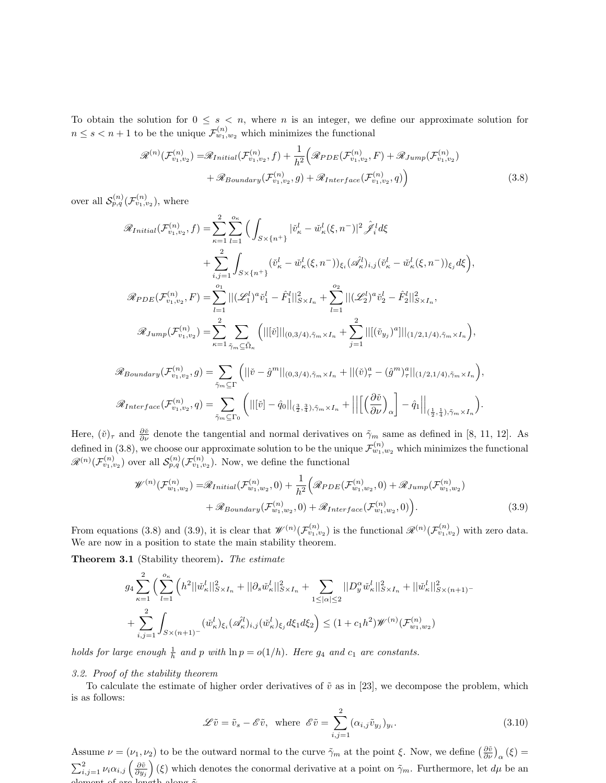To obtain the solution for  $0 \leq s \leq n$ , where n is an integer, we define our approximate solution for  $n \leq s < n+1$  to be the unique  $\mathcal{F}^{(n)}_{w_1,w_2}$  which minimizes the functional

$$
\mathcal{R}^{(n)}(\mathcal{F}_{v_1,v_2}^{(n)}) = \mathcal{R}_{Initial}(\mathcal{F}_{v_1,v_2}^{(n)}, f) + \frac{1}{h^2} \Big( \mathcal{R}_{PDE}(\mathcal{F}_{v_1,v_2}^{(n)}, F) + \mathcal{R}_{Jump}(\mathcal{F}_{v_1,v_2}^{(n)}) + \mathcal{R}_{Boundary}(\mathcal{F}_{v_1,v_2}^{(n)}, g) + \mathcal{R}_{Interface}(\mathcal{F}_{v_1,v_2}^{(n)}, q) \Big)
$$
(3.8)

over all  $\mathcal{S}_{p,q}^{(n)}(\mathcal{F}_{v_1,v_2}^{(n)}),$  where

$$
\mathcal{R}_{Initial}(\mathcal{F}_{v_1, v_2}^{(n)}, f) = \sum_{\kappa=1}^{2} \sum_{l=1}^{o_{\kappa}} \Big( \int_{S \times \{n^{+}\}} |\check{v}_{\kappa}^{l} - \check{w}_{\kappa}^{l}(\xi, n^{-})|^{2} \Big) \mathcal{J}_{i}^{l} d\xi \n+ \sum_{i,j=1}^{2} \int_{S \times \{n^{+}\}} (\check{v}_{\kappa}^{l} - \check{w}_{\kappa}^{l}(\xi, n^{-}))_{\xi_{i}} (\mathcal{A}_{\kappa}^{l})_{i,j} (\check{v}_{\kappa}^{l} - \check{w}_{\kappa}^{l}(\xi, n^{-}))_{\xi_{j}} d\xi \Big), \n\mathcal{R}_{PDE}(\mathcal{F}_{v_1, v_2}^{(n)}, F) = \sum_{l=1}^{o_{1}} ||(\mathcal{L}_{1}^{l})^{a} \check{v}_{1}^{l} - \hat{F}_{1}^{l}||_{S \times I_{n}}^{2} + \sum_{l=1}^{o_{2}} ||(\mathcal{L}_{2}^{l})^{a} \check{v}_{2}^{l} - \hat{F}_{2}^{l}||_{S \times I_{n}}^{2}, \n\mathcal{R}_{Jump}(\mathcal{F}_{v_1, v_2}^{(n)}) = \sum_{\kappa=1}^{2} \sum_{\tilde{\gamma}_{m} \subseteq \tilde{\Omega}_{\kappa}} \Big( ||[\tilde{v}|||_{(0,3/4), \tilde{\gamma}_{m} \times I_{n}} + \sum_{j=1}^{2} ||[(\check{v}_{y_{j}})^{a}|||_{(1/2,1/4), \tilde{\gamma}_{m} \times I_{n}} \Big), \n\mathcal{R}_{Boundary}(\mathcal{F}_{v_1, v_2}^{(n)}, g) = \sum_{\tilde{\gamma}_{m} \subseteq \Gamma} \Big( ||\tilde{v} - \hat{g}^{m}||_{(0,3/4), \tilde{\gamma}_{m} \times I_{n}} + ||(\check{v})_{\tau}^{a} - (\hat{g}^{m})_{\tau}^{a}||_{(1/2,1/4), \tilde{\gamma}_{m} \times I_{n}} \Big), \n\mathcal{R}_{Interface}(\mathcal{F}_{v_1, v_2}^{(n)}, g) = \sum_{\tilde{\gamma}_{m} \subseteq \Gamma} \Big
$$

Here,  $(\check{v})_{\tau}$  and  $\frac{\partial \check{v}}{\partial \nu}$  denote the tangential and normal derivatives on  $\tilde{\gamma}_m$  same as defined in [8, 11, 12]. As defined in (3.8), we choose our approximate solution to be the unique  $\mathcal{F}_{w_1,w_2}^{(n)}$  which minimizes the functional  $\mathscr{R}^{(n)}(\mathcal{F}_{v_1,v_2}^{(n)})$  over all  $\mathcal{S}_{p,q}^{(n)}(\mathcal{F}_{v_1,v_2}^{(n)})$ . Now, we define the functional

$$
\mathcal{W}^{(n)}(\mathcal{F}_{w_1,w_2}^{(n)}) = \mathcal{R}_{Initial}(\mathcal{F}_{w_1,w_2}^{(n)},0) + \frac{1}{h^2} \Big( \mathcal{R}_{PDE}(\mathcal{F}_{w_1,w_2}^{(n)},0) + \mathcal{R}_{Jump}(\mathcal{F}_{w_1,w_2}^{(n)}) + \mathcal{R}_{Boundary}(\mathcal{F}_{w_1,w_2}^{(n)},0) + \mathcal{R}_{Interface}(\mathcal{F}_{w_1,w_2}^{(n)},0) \Big).
$$
\n(3.9)

From equations (3.8) and (3.9), it is clear that  $\mathscr{W}^{(n)}(\mathcal{F}_{v_1,v_2}^{(n)})$  is the functional  $\mathscr{R}^{(n)}(\mathcal{F}_{v_1,v_2}^{(n)})$  with zero data. We are now in a position to state the main stability theorem.

Theorem 3.1 (Stability theorem). The estimate

$$
g_{4} \sum_{\kappa=1}^{2} \Big( \sum_{l=1}^{\infty} \Big( h^{2} ||\check{w}_{\kappa}^{l}||_{S\times I_{n}}^{2} + ||\partial_{s}\check{w}_{\kappa}^{l}||_{S\times I_{n}}^{2} + \sum_{1 \leq |\alpha| \leq 2} ||D_{y}^{\alpha}\check{w}_{\kappa}^{l}||_{S\times I_{n}}^{2} + ||\check{w}_{\kappa}^{l}||_{S\times (n+1)}^{2} - \sum_{i,j=1}^{2} \int_{S\times (n+1)^{-}} (\check{w}_{\kappa}^{l})_{\xi_{i}} (\check{\mathscr{A}}_{\kappa}^{l})_{i,j} (\check{w}_{\kappa}^{l})_{\xi_{j}} d\xi_{1} d\xi_{2} \Big) \leq (1+c_{1}h^{2}) \mathscr{W}^{(n)}(\mathcal{F}_{w_{1},w_{2}}^{(n)})
$$

holds for large enough  $\frac{1}{h}$  and p with  $\ln p = o(1/h)$ . Here  $g_4$  and  $c_1$  are constants.

 $\tilde \gamma_m{\subseteq}\Gamma_0$ 

## 3.2. Proof of the stability theorem

To calculate the estimate of higher order derivatives of  $\tilde{v}$  as in [23], we decompose the problem, which is as follows:

$$
\mathcal{L}\tilde{v} = \tilde{v}_s - \mathcal{E}\tilde{v}, \text{ where } \mathcal{E}\tilde{v} = \sum_{i,j=1}^{2} (\alpha_{i,j}\tilde{v}_{y_j})_{y_i}.
$$
 (3.10)

Assume  $\nu = (\nu_1, \nu_2)$  to be the outward normal to the curve  $\tilde{\gamma}_m$  at the point  $\xi$ . Now, we define  $\left(\frac{\partial \tilde{v}}{\partial \nu}\right)_{\alpha} (\xi) =$  $\sum_{i,j=1}^2 \nu_i \alpha_{i,j} \left( \frac{\partial \tilde{v}}{\partial y_j} \right)$ (ξ) which denotes the conormal derivative at a point on  $\tilde{\gamma}_m$ . Furthermore, let  $d\mu$  be an element of arc length along  $\tilde{\gamma}$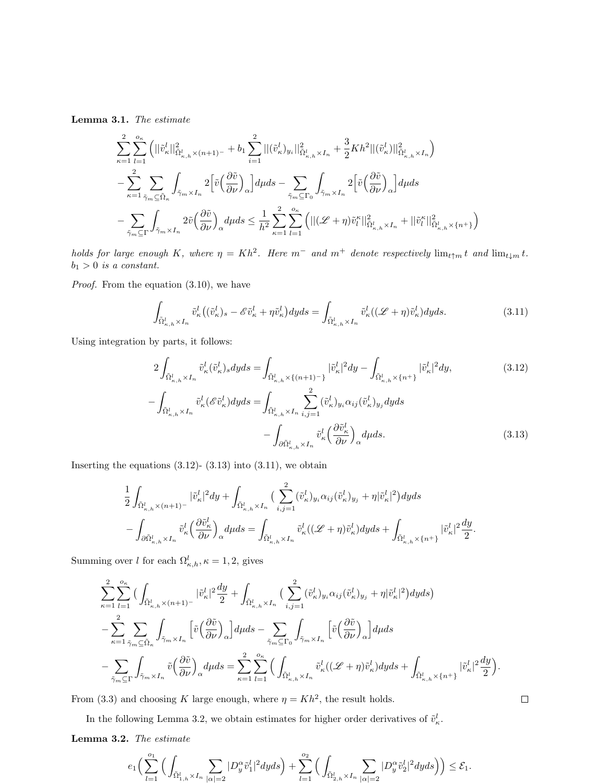Lemma 3.1. The estimate

$$
\begin{split} &\sum_{\kappa=1}^2\sum_{l=1}^{o_\kappa}\Big(||\tilde{v}^l_\kappa||^2_{\tilde{\Omega}^l_{\kappa,h}\times (n+1)^-}+b_1\sum_{i=1}^2||(\tilde{v}^l_\kappa)_{y_i}||^2_{\tilde{\Omega}^l_{\kappa,h}\times I_n}+\frac{3}{2}Kh^2||(\tilde{v}^l_\kappa)||^2_{\tilde{\Omega}^l_{\kappa,h}\times I_n}\Big)\\ &-\sum_{\kappa=1}^2\sum_{\tilde{\gamma}_m\subseteq \tilde{\Omega}_\kappa}\int_{\tilde{\gamma}_m\times I_n}2\Big[\tilde{v}\Big(\frac{\partial \tilde{v}}{\partial\nu}\Big)_\alpha\Big]d\mu ds-\sum_{\tilde{\gamma}_m\subseteq \Gamma_0}\int_{\tilde{\gamma}_m\times I_n}2\Big[\tilde{v}\Big(\frac{\partial \tilde{v}}{\partial\nu}\Big)_\alpha\Big]d\mu ds\\ &-\sum_{\tilde{\gamma}_m\subseteq \Gamma}\int_{\tilde{\gamma}_m\times I_n}2\tilde{v}\Big(\frac{\partial \tilde{v}}{\partial\nu}\Big)_\alpha d\mu ds\leq \frac{1}{h^2}\sum_{\kappa=1}^2\sum_{l=1}^{o_\kappa}\Big(||(\mathscr{L}+\eta)\tilde{v}^\kappa_l||^2_{\tilde{\Omega}^l_{\kappa,h}\times I_n}+||\tilde{v}^\kappa_l||^2_{\tilde{\Omega}^l_{\kappa,h}\times \{n^+\}}\Big) \end{split}
$$

holds for large enough K, where  $\eta = Kh^2$ . Here  $m^-$  and  $m^+$  denote respectively  $\lim_{t \uparrow m} t$  and  $\lim_{t \downarrow m} t$ .  $b_1 > 0$  is a constant.

Proof. From the equation (3.10), we have

$$
\int_{\tilde{\Omega}^l_{\kappa,h}\times I_n} \tilde{v}^l_{\kappa} \left( (\tilde{v}^l_{\kappa})_s - \mathscr{E}\tilde{v}^l_{\kappa} + \eta \tilde{v}^l_{\kappa} \right) dyds = \int_{\tilde{\Omega}^l_{\kappa,h}\times I_n} \tilde{v}^l_{\kappa} \left( (\mathscr{L} + \eta) \tilde{v}^l_{\kappa} \right) dyds. \tag{3.11}
$$

Using integration by parts, it follows:

$$
2\int_{\tilde{\Omega}_{\kappa,h}^l \times I_n} \tilde{v}_{\kappa}^l(\tilde{v}_{\kappa}^l)_s dyds = \int_{\tilde{\Omega}_{\kappa,h}^l \times \{(n+1)^{-}\}} |\tilde{v}_{\kappa}^l|^2 dy - \int_{\tilde{\Omega}_{\kappa,h}^l \times \{n^{+}\}} |\tilde{v}_{\kappa}^l|^2 dy,
$$
\n
$$
-\int_{\tilde{\Omega}_{\kappa,h}^l \times I_n} \tilde{v}_{\kappa}^l(\mathscr{E}\tilde{v}_{\kappa}^l) dyds = \int_{\tilde{\Omega}_{\kappa,h}^l \times I_n} \sum_{i,j=1}^2 (\tilde{v}_{\kappa}^l)_{y_i} \alpha_{ij} (\tilde{v}_{\kappa}^l)_{y_j} dyds
$$
\n
$$
-\int_{\partial \tilde{\Omega}_{\kappa,h}^l \times I_n} \tilde{v}_{\kappa}^l(\frac{\partial \tilde{v}_{\kappa}^l}{\partial \nu})_{\alpha} d\mu ds.
$$
\n(3.13)

Inserting the equations  $(3.12)$ -  $(3.13)$  into  $(3.11)$ , we obtain

$$
\begin{aligned} &\frac{1}{2}\int_{\tilde{\Omega}^l_{\kappa,h}\times (n+1)^-}|\tilde{v}^l_{\kappa}|^2dy+\int_{\tilde{\Omega}^l_{\kappa,h}\times I_n}\big(\sum_{i,j=1}^2(\tilde{v}^l_{\kappa})_{y_i}\alpha_{ij}(\tilde{v}^l_{\kappa})_{y_j}+\eta|\tilde{v}^l_{\kappa}|^2\big)dyds\\ &-\int_{\partial \tilde{\Omega}^l_{\kappa,h}\times I_n}\tilde{v}^l_{\kappa}\Big(\frac{\partial \tilde{v}^l_{\kappa}}{\partial \nu}\Big)_{\alpha}d\mu ds=\int_{\tilde{\Omega}^l_{\kappa,h}\times I_n}\tilde{v}^l_{\kappa}\big((\mathscr{L}+\eta)\tilde{v}^l_{\kappa}\big)dyds+\int_{\tilde{\Omega}^l_{\kappa,h}\times \{n^+\}}|\tilde{v}^l_{\kappa}|^2\frac{dy}{2}. \end{aligned}
$$

Summing over l for each  $\Omega_{\kappa,h}^l$ ,  $\kappa = 1,2$ , gives

$$
\begin{split} &\sum_{\kappa=1}^2\sum_{l=1}^{o_\kappa}\big(\int_{\tilde{\Omega}^l_{\kappa,h}\times (n+1)^-}|\tilde{v}^l_\kappa|^2\frac{dy}{2}+\int_{\tilde{\Omega}^l_{\kappa,h}\times I_n}\big(\sum_{i,j=1}^2(\tilde{v}^l_\kappa)_{y_i}\alpha_{ij}(\tilde{v}^l_\kappa)_{y_j}+\eta|\tilde{v}^l_\kappa|^2\big)dyds\big)\\ &-\sum_{\kappa=1}^2\sum_{\tilde{\gamma}_m\subseteq \tilde{\Omega}_\kappa}\int_{\tilde{\gamma}_m\times I_n}\Big[\tilde{v}\Big(\frac{\partial \tilde{v}}{\partial \nu}\Big)_\alpha\Big]d\mu ds-\sum_{\tilde{\gamma}_m\subseteq \Gamma_0}\int_{\tilde{\gamma}_m\times I_n}\Big[\tilde{v}\Big(\frac{\partial \tilde{v}}{\partial \nu}\Big)_\alpha\Big]d\mu ds\\ &-\sum_{\tilde{\gamma}_m\subseteq \Gamma}\int_{\tilde{\gamma}_m\times I_n}\tilde{v}\Big(\frac{\partial \tilde{v}}{\partial \nu}\Big)_\alpha d\mu ds=\sum_{\kappa=1}^2\sum_{l=1}^{o_\kappa}\Big(\int_{\tilde{\Omega}^l_{\kappa,h}\times I_n}\tilde{v}^l_\kappa((\mathscr{L}+\eta)\tilde{v}^l_\kappa)dyds+\int_{\tilde{\Omega}^l_{\kappa,h}\times \{n^+\}}|\tilde{v}^l_\kappa|^2\frac{dy}{2}\Big). \end{split}
$$

From (3.3) and choosing K large enough, where  $\eta = Kh^2$ , the result holds.

In the following Lemma 3.2, we obtain estimates for higher order derivatives of  $\tilde{v}_k^l$ .

Lemma 3.2. The estimate

$$
e_1 \Big(\sum\limits_{l=1}^{o_1}\Big(\int_{\tilde{\Omega}_{1,h}^l\times I_n}\sum\limits_{|\alpha|=2}|D_y^{\alpha}\tilde{v}_1^l|^2dyds\Big)+\sum\limits_{l=1}^{o_2}\Big(\int_{\tilde{\Omega}_{2,h}^l\times I_n}\sum\limits_{|\alpha|=2}|D_y^{\alpha}\tilde{v}_2^l|^2dyds\Big)\Big)\leq \mathcal{E}_1.
$$

 $\Box$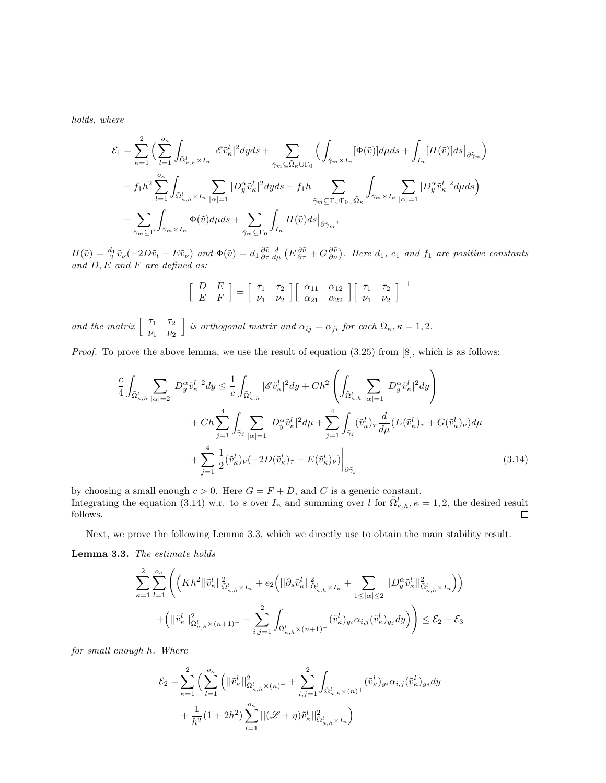holds, where

$$
\mathcal{E}_1 = \sum_{\kappa=1}^2 \Big( \sum_{l=1}^{\sigma_{\kappa}} \int_{\tilde{\Omega}^l_{\kappa,h} \times I_n} |\mathscr{E}\tilde{v}^l_{\kappa}|^2 dyds + \sum_{\tilde{\gamma}_m \subseteq \tilde{\Omega}_{\kappa} \cup \Gamma_0} \Big( \int_{\tilde{\gamma}_m \times I_n} [\Phi(\tilde{v})] d\mu ds + \int_{I_n} [H(\tilde{v})] ds \big|_{\partial \tilde{\gamma}_m} \Big) + f_1 h^2 \sum_{l=1}^{\sigma_{\kappa}} \int_{\tilde{\Omega}^l_{\kappa,h} \times I_n} \sum_{|\alpha|=1} |D_y^{\alpha} \tilde{v}^l_{\kappa}|^2 dyds + f_1 h \sum_{\tilde{\gamma}_m \subseteq \Gamma \cup \Gamma_0 \cup \tilde{\Omega}_{\kappa}} \int_{\tilde{\gamma}_m \times I_n} \sum_{|\alpha|=1} |D_y^{\alpha} \tilde{v}^l_{\kappa}|^2 d\mu ds \Big) + \sum_{\tilde{\gamma}_m \subseteq \Gamma} \int_{\tilde{\gamma}_m \times I_n} \Phi(\tilde{v}) d\mu ds + \sum_{\tilde{\gamma}_m \subseteq \Gamma_0} \int_{I_n} H(\tilde{v}) ds \big|_{\partial \tilde{\gamma}_m},
$$

 $H(\tilde{v}) = \frac{d_1}{2} \tilde{v}_\nu (-2D\tilde{v}_t - E\tilde{v}_\nu)$  and  $\Phi(\tilde{v}) = d_1 \frac{\partial \tilde{v}}{\partial \tau} \frac{d}{d\mu} (E \frac{\partial \tilde{v}}{\partial \tau} + G \frac{\partial \tilde{v}}{\partial \nu})$ . Here  $d_1$ ,  $e_1$  and  $f_1$  are positive constants and  $D, E$  and  $F$  are defined as:

$$
\left[\begin{array}{cc} D & E \\ E & F \end{array}\right] = \left[\begin{array}{cc} \tau_1 & \tau_2 \\ \nu_1 & \nu_2 \end{array}\right] \left[\begin{array}{cc} \alpha_{11} & \alpha_{12} \\ \alpha_{21} & \alpha_{22} \end{array}\right] \left[\begin{array}{cc} \tau_1 & \tau_2 \\ \nu_1 & \nu_2 \end{array}\right]^{-1}
$$

and the matrix  $\begin{bmatrix} \tau_1 & \tau_2 \\ \cdots & \cdots \end{bmatrix}$  $\nu_1$   $\nu_2$ is orthogonal matrix and  $\alpha_{ij} = \alpha_{ji}$  for each  $\Omega_{\kappa}, \kappa = 1, 2$ .

Proof. To prove the above lemma, we use the result of equation (3.25) from [8], which is as follows:

$$
\frac{c}{4} \int_{\tilde{\Omega}_{\kappa,h}^l} \sum_{|\alpha|=2} |D_y^{\alpha} \tilde{v}_{\kappa}^l|^2 dy \leq \frac{1}{c} \int_{\tilde{\Omega}_{\kappa,h}^l} |\mathscr{E} \tilde{v}_{\kappa}^l|^2 dy + Ch^2 \left( \int_{\tilde{\Omega}_{\kappa,h}^l} \sum_{|\alpha|=1} |D_y^{\alpha} \tilde{v}_{\kappa}^l|^2 dy \right) \n+ Ch \sum_{j=1}^4 \int_{\tilde{\gamma}_j} \sum_{|\alpha|=1} |D_y^{\alpha} \tilde{v}_{\kappa}^l|^2 d\mu + \sum_{j=1}^4 \int_{\tilde{\gamma}_j} (\tilde{v}_{\kappa}^l)_{\tau} \frac{d}{d\mu} (E(\tilde{v}_{\kappa}^l)_{\tau} + G(\tilde{v}_{\kappa}^l)_{\nu}) d\mu \n+ \sum_{j=1}^4 \frac{1}{2} (\tilde{v}_{\kappa}^l)_{\nu} (-2D(\tilde{v}_{\kappa}^l)_{\tau} - E(\tilde{v}_{\kappa}^l)_{\nu}) \Big|_{\partial \tilde{\gamma}_j}
$$
\n(3.14)

by choosing a small enough  $c > 0$ . Here  $G = F + D$ , and C is a generic constant. Integrating the equation (3.14) w.r. to s over  $I_n$  and summing over l for  $\tilde{\Omega}_{\kappa,h}^l, \kappa = 1,2$ , the desired result follows.

Next, we prove the following Lemma 3.3, which we directly use to obtain the main stability result.

Lemma 3.3. The estimate holds

$$
\sum_{\kappa=1}^2\sum_{l=1}^{o_\kappa}\Bigg(\Big(Kh^2||\tilde{v}^l_\kappa||^2_{\tilde{\Omega}^l_{\kappa,h}\times I_n}+e_2\Big(||\partial_s\tilde{v}^l_\kappa||^2_{\tilde{\Omega}^l_{\kappa,h}\times I_n}+\sum_{1\leq|\alpha|\leq 2}||D_y^\alpha \tilde{v}^l_\kappa||^2_{\tilde{\Omega}^l_{\kappa,h}\times I_n}\Big)\Big)\\+\Big(||\tilde{v}^l_\kappa||^2_{\tilde{\Omega}^l_{\kappa,h}\times (n+1)^-}+\sum_{i,j=1}^2\int_{\tilde{\Omega}^l_{\kappa,h}\times (n+1)^-}(\tilde{v}^l_\kappa)_{y_i}\alpha_{i,j}(\tilde{v}^l_\kappa)_{y_j}dy\Big)\Bigg)\leq \mathcal{E}_2+\mathcal{E}_3
$$

for small enough h. Where

$$
\mathcal{E}_{2} = \sum_{\kappa=1}^{2} \Big( \sum_{l=1}^{o_{\kappa}} \Big( ||\tilde{v}_{\kappa}^{l}||_{\tilde{\Omega}_{\kappa,h}^{l} \times (n)^{+}}^{2} + \sum_{i,j=1}^{2} \int_{\tilde{\Omega}_{\kappa,h}^{l} \times (n)^{+}} (\tilde{v}_{\kappa}^{l})_{y_{i}} \alpha_{i,j} (\tilde{v}_{\kappa}^{l})_{y_{j}} dy + \frac{1}{h^{2}} (1 + 2h^{2}) \sum_{l=1}^{o_{\kappa}} ||(\mathscr{L} + \eta) \tilde{v}_{\kappa}^{l}||_{\tilde{\Omega}_{\kappa,h}^{l} \times I_{n}}^{2} \Big)
$$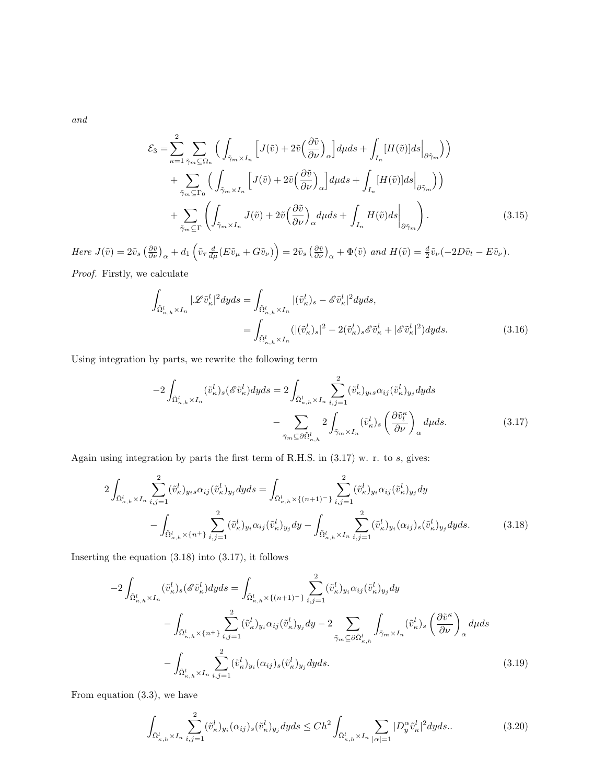and

$$
\mathcal{E}_{3} = \sum_{\kappa=1}^{2} \sum_{\tilde{\gamma}_{m} \subseteq \Omega_{\kappa}} \Big( \int_{\tilde{\gamma}_{m} \times I_{n}} \Big[ J(\tilde{v}) + 2\tilde{v} \Big( \frac{\partial \tilde{v}}{\partial \nu} \Big)_{\alpha} \Big] d\mu ds + \int_{I_{n}} [H(\tilde{v})] ds \Big|_{\partial \tilde{\gamma}_{m}} \Big) \Big) + \sum_{\tilde{\gamma}_{m} \subseteq \Gamma_{0}} \Big( \int_{\tilde{\gamma}_{m} \times I_{n}} \Big[ J(\tilde{v}) + 2\tilde{v} \Big( \frac{\partial \tilde{v}}{\partial \nu} \Big)_{\alpha} \Big] d\mu ds + \int_{I_{n}} [H(\tilde{v})] ds \Big|_{\partial \tilde{\gamma}_{m}} \Big) \Big) + \sum_{\tilde{\gamma}_{m} \subseteq \Gamma} \Big( \int_{\tilde{\gamma}_{m} \times I_{n}} J(\tilde{v}) + 2\tilde{v} \Big( \frac{\partial \tilde{v}}{\partial \nu} \Big)_{\alpha} d\mu ds + \int_{I_{n}} H(\tilde{v}) ds \Big|_{\partial \tilde{\gamma}_{m}} \Big). \tag{3.15}
$$

Here  $J(\tilde{v}) = 2\tilde{v}_s \left(\frac{\partial \tilde{v}}{\partial \nu}\right)_{\alpha} + d_1 \left(\tilde{v}_{\tau} \frac{d}{d\mu} (E \tilde{v}_{\mu} + G \tilde{v}_{\nu})\right) = 2\tilde{v}_s \left(\frac{\partial \tilde{v}}{\partial \nu}\right)_{\alpha} + \Phi(\tilde{v}) \text{ and } H(\tilde{v}) = \frac{d}{2} \tilde{v}_{\nu} (-2D\tilde{v}_t - E \tilde{v}_{\nu}).$ 

Proof. Firstly, we calculate

$$
\int_{\tilde{\Omega}^l_{\kappa,h}\times I_n} |\mathscr{L}\tilde{v}^l_{\kappa}|^2 dyds = \int_{\tilde{\Omega}^l_{\kappa,h}\times I_n} |(\tilde{v}^l_{\kappa})_s - \mathscr{E}\tilde{v}^l_{\kappa}|^2 dyds, \n= \int_{\tilde{\Omega}^l_{\kappa,h}\times I_n} (|(\tilde{v}^l_{\kappa})_s|^2 - 2(\tilde{v}^l_{\kappa})_s \mathscr{E}\tilde{v}^l_{\kappa} + |\mathscr{E}\tilde{v}^l_{\kappa}|^2) dyds.
$$
\n(3.16)

Using integration by parts, we rewrite the following term

$$
-2\int_{\tilde{\Omega}^l_{\kappa,h}\times I_n} (\tilde{v}^l_{\kappa})_s(\mathcal{E}\tilde{v}^l_{\kappa})dyds = 2\int_{\tilde{\Omega}^l_{\kappa,h}\times I_n} \sum_{i,j=1}^2 (\tilde{v}^l_{\kappa})_{y_i s} \alpha_{ij}(\tilde{v}^l_{\kappa})_{y_j}dyds - \sum_{\tilde{\gamma}_m \subseteq \partial \tilde{\Omega}^l_{\kappa,h}} 2\int_{\tilde{\gamma}_m \times I_n} (\tilde{v}^l_{\kappa})_s \left(\frac{\partial \tilde{v}^{\kappa}_l}{\partial \nu}\right)_{\alpha} d\mu ds.
$$
 (3.17)

Again using integration by parts the first term of R.H.S. in (3.17) w. r. to s, gives:

$$
2\int_{\tilde{\Omega}_{\kappa,h}^l \times I_n} \sum_{i,j=1}^2 (\tilde{v}_{\kappa}^l)_{y_i s} \alpha_{ij} (\tilde{v}_{\kappa}^l)_{y_j} dy ds = \int_{\tilde{\Omega}_{\kappa,h}^l \times \{(n+1)^{-}\}} \sum_{i,j=1}^2 (\tilde{v}_{\kappa}^l)_{y_i} \alpha_{ij} (\tilde{v}_{\kappa}^l)_{y_j} dy - \int_{\tilde{\Omega}_{\kappa,h}^l \times \{n^+\}} \sum_{i,j=1}^2 (\tilde{v}_{\kappa}^l)_{y_i} \alpha_{ij} (\tilde{v}_{\kappa}^l)_{y_j} dy - \int_{\tilde{\Omega}_{\kappa,h}^l \times I_n} \sum_{i,j=1}^2 (\tilde{v}_{\kappa}^l)_{y_i} (\alpha_{ij})_s (\tilde{v}_{\kappa}^l)_{y_j} dy ds.
$$
 (3.18)

Inserting the equation  $(3.18)$  into  $(3.17)$ , it follows

$$
-2\int_{\tilde{\Omega}^l_{\kappa,h}\times I_n} (\tilde{v}^l_{\kappa})_s(\mathscr{E}\tilde{v}^l_{\kappa})dyds = \int_{\tilde{\Omega}^l_{\kappa,h}\times\{(n+1)^-\}} \sum_{i,j=1}^2 (\tilde{v}^l_{\kappa})_{y_i} \alpha_{ij}(\tilde{v}^l_{\kappa})_{y_j} dy
$$

$$
-\int_{\tilde{\Omega}^l_{\kappa,h}\times\{n^+\}} \sum_{i,j=1}^2 (\tilde{v}^l_{\kappa})_{y_i} \alpha_{ij}(\tilde{v}^l_{\kappa})_{y_j} dy - 2\sum_{\tilde{\gamma}_m\subseteq\partial\tilde{\Omega}^l_{\kappa,h}} \int_{\tilde{\gamma}_m\times I_n} (\tilde{v}^l_{\kappa})_s \left(\frac{\partial\tilde{v}^{\kappa}}{\partial\nu}\right)_{\alpha} d\mu ds
$$

$$
-\int_{\tilde{\Omega}^l_{\kappa,h}\times I_n} \sum_{i,j=1}^2 (\tilde{v}^l_{\kappa})_{y_i} (\alpha_{ij})_s(\tilde{v}^l_{\kappa})_{y_j} dyds.
$$
(3.19)

From equation (3.3), we have

$$
\int_{\tilde{\Omega}^l_{\kappa,h} \times I_n} \sum_{i,j=1}^2 (\tilde{v}^l_{\kappa})_{y_i} (\alpha_{ij})_s (\tilde{v}^l_{\kappa})_{y_j} dy ds \le Ch^2 \int_{\tilde{\Omega}^l_{\kappa,h} \times I_n} \sum_{|\alpha|=1} |D^{\alpha}_{y} \tilde{v}^l_{\kappa}|^2 dy ds. \tag{3.20}
$$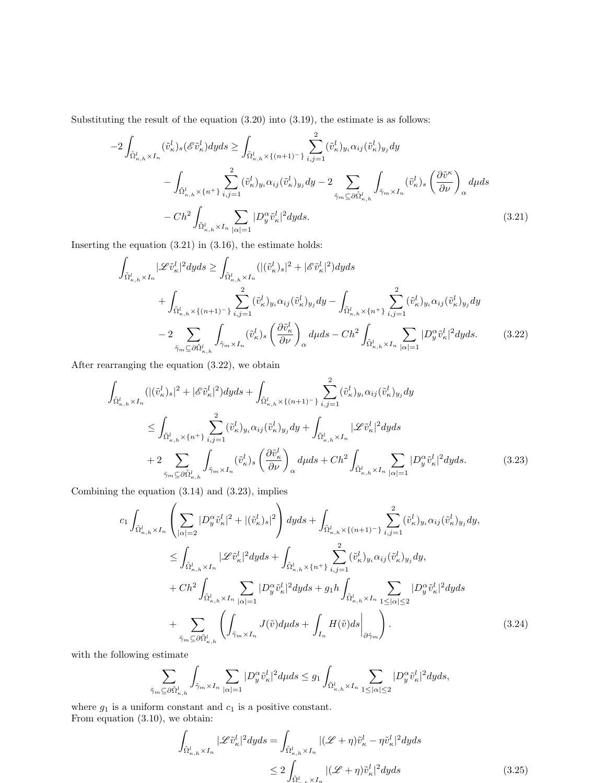Substituting the result of the equation  $(3.20)$  into  $(3.19)$ , the estimate is as follows:

$$
-2\int_{\tilde{\Omega}^l_{\kappa,h}\times I_n} (\tilde{v}^l_{\kappa})_s(\mathscr{E}\tilde{v}^l_{\kappa})dyds \ge \int_{\tilde{\Omega}^l_{\kappa,h}\times\{(n+1)^-\}} \sum_{i,j=1}^2 (\tilde{v}^l_{\kappa})_{y_i} \alpha_{ij}(\tilde{v}^l_{\kappa})_{y_j} dy
$$

$$
-\int_{\tilde{\Omega}^l_{\kappa,h}\times\{n^+\}} \sum_{i,j=1}^2 (\tilde{v}^l_{\kappa})_{y_i} \alpha_{ij}(\tilde{v}^l_{\kappa})_{y_j} dy - 2\sum_{\tilde{\gamma}_m\subseteq\partial\tilde{\Omega}^l_{\kappa,h}} \int_{\tilde{\gamma}_m\times I_n} (\tilde{v}^l_{\kappa})_s \left(\frac{\partial\tilde{v}^{\kappa}}{\partial\nu}\right)_{\alpha} d\mu ds
$$

$$
-Ch^2 \int_{\tilde{\Omega}^l_{\kappa,h}\times I_n} \sum_{|\alpha|=1} |D^{\alpha}_y \tilde{v}^l_{\kappa}|^2 dyds. \tag{3.21}
$$

Inserting the equation  $(3.21)$  in  $(3.16)$ , the estimate holds:

$$
\int_{\tilde{\Omega}^l_{\kappa,h}\times I_n} |\mathcal{L}\tilde{v}^l_{\kappa}|^2 dyds \ge \int_{\tilde{\Omega}^l_{\kappa,h}\times I_n} (|(\tilde{v}^l_{\kappa})_s|^2 + |\mathcal{E}\tilde{v}^l_{\kappa}|^2) dyds \n+ \int_{\tilde{\Omega}^l_{\kappa,h}\times\{(n+1)^{-}\}} \sum_{i,j=1}^2 (\tilde{v}^l_{\kappa})_{y_i} \alpha_{ij} (\tilde{v}^l_{\kappa})_{y_j} dy - \int_{\tilde{\Omega}^l_{\kappa,h}\times\{n^{+}\}} \sum_{i,j=1}^2 (\tilde{v}^l_{\kappa})_{y_i} \alpha_{ij} (\tilde{v}^l_{\kappa})_{y_j} dy \n- 2 \sum_{\tilde{\gamma}_m \subseteq \partial \tilde{\Omega}^l_{\kappa,h}} \int_{\tilde{\gamma}_m \times I_n} (\tilde{v}^l_{\kappa})_s \left(\frac{\partial \tilde{v}^l_{\kappa}}{\partial \nu}\right)_{\alpha} d\mu ds - Ch^2 \int_{\tilde{\Omega}^l_{\kappa,h}\times I_n} \sum_{|\alpha|=1} |D^{\alpha}_{y} \tilde{v}^l_{\kappa}|^2 dyds.
$$
\n(3.22)

After rearranging the equation (3.22), we obtain

$$
\int_{\tilde{\Omega}_{\kappa,h}^l \times I_n} (|(i\tilde{v}_\kappa^l)_s|^2 + |\mathscr{E}\tilde{v}_\kappa^l|^2) dyds + \int_{\tilde{\Omega}_{\kappa,h}^l \times \{(n+1)^-\}} \sum_{i,j=1}^2 (\tilde{v}_\kappa^l)_{y_i} \alpha_{ij} (\tilde{v}_\kappa^l)_{y_j} dy \n\leq \int_{\tilde{\Omega}_{\kappa,h}^l \times \{n+\}} \sum_{i,j=1}^2 (\tilde{v}_\kappa^l)_{y_i} \alpha_{ij} (\tilde{v}_\kappa^l)_{y_j} dy + \int_{\tilde{\Omega}_{\kappa,h}^l \times I_n} |\mathscr{L}\tilde{v}_\kappa^l|^2 dyds \n+ 2 \sum_{\tilde{\gamma}_m \subseteq \partial \tilde{\Omega}_{\kappa,h}^l} \int_{\tilde{\gamma}_m \times I_n} (\tilde{v}_\kappa^l)_s \left(\frac{\partial \tilde{v}_\kappa^l}{\partial \nu}\right)_\alpha dyds + Ch^2 \int_{\tilde{\Omega}_{\kappa,h}^l \times I_n} \sum_{|\alpha|=1} |D_y^\alpha \tilde{v}_\kappa^l|^2 dyds.
$$
\n(3.23)

Combining the equation (3.14) and (3.23), implies

$$
c_{1} \int_{\tilde{\Omega}^{l}_{\kappa,h} \times I_{n}} \left( \sum_{|\alpha|=2} |D^{\alpha}_{y} \tilde{v}^{l}_{\kappa}|^{2} + |(\tilde{v}^{l}_{\kappa})_{s}|^{2} \right) dyds + \int_{\tilde{\Omega}^{l}_{\kappa,h} \times \{(n+1)^{-}\}} \sum_{i,j=1}^{2} (\tilde{v}^{l}_{\kappa})_{y_{i}} \alpha_{ij} (\tilde{v}^{l}_{\kappa})_{y_{j}} dy, \n\leq \int_{\tilde{\Omega}^{l}_{\kappa,h} \times I_{n}} |\mathscr{L}\tilde{v}^{l}_{\kappa}|^{2} dyds + \int_{\tilde{\Omega}^{l}_{\kappa,h} \times \{n^{+}\}} \sum_{i,j=1}^{2} (\tilde{v}^{l}_{\kappa})_{y_{i}} \alpha_{ij} (\tilde{v}^{l}_{\kappa})_{y_{j}} dy, \n+ Ch^{2} \int_{\tilde{\Omega}^{l}_{\kappa,h} \times I_{n}} \sum_{|\alpha|=1} |D^{\alpha}_{y} \tilde{v}^{l}_{\kappa}|^{2} dyds + g_{1} h \int_{\tilde{\Omega}^{l}_{\kappa,h} \times I_{n}} \sum_{1 \leq |\alpha| \leq 2} |D^{\alpha}_{y} \tilde{v}^{l}_{\kappa}|^{2} dyds \n+ \sum_{\tilde{\gamma}_{m} \subseteq \partial \tilde{\Omega}^{l}_{\kappa,h}} \left( \int_{\tilde{\gamma}_{m} \times I_{n}} J(\tilde{v}) dyds + \int_{I_{n}} H(\tilde{v}) ds \Big|_{\partial \tilde{\gamma}_{m}} \right). \tag{3.24}
$$

with the following estimate

$$
\sum_{\tilde{\gamma}_m\subseteq \partial \tilde{\Omega}_{\kappa,h}^l}\int_{\tilde{\gamma}_m\times I_n}\sum_{|\alpha|=1}|D_y^{\alpha}\tilde{v}_\kappa^l|^2d\mu ds\leq g_1\int_{\tilde{\Omega}_{\kappa,h}^l\times I_n}\sum_{1\leq|\alpha|\leq 2}|D_y^{\alpha}\tilde{v}_\kappa^l|^2dyds,
$$

where  $g_1$  is a uniform constant and  $c_1$  is a positive constant. From equation (3.10), we obtain:

$$
\int_{\tilde{\Omega}^l_{\kappa,h}\times I_n} |\mathscr{L}\tilde{v}^l_{\kappa}|^2 dyds = \int_{\tilde{\Omega}^l_{\kappa,h}\times I_n} |(\mathscr{L}+\eta)\tilde{v}^l_{\kappa}-\eta\tilde{v}^l_{\kappa}|^2 dyds
$$
\n
$$
\leq 2 \int_{\tilde{\Omega}^l_{\kappa,h}\times I_n} |(\mathscr{L}+\eta)\tilde{v}^l_{\kappa}|^2 dyds \tag{3.25}
$$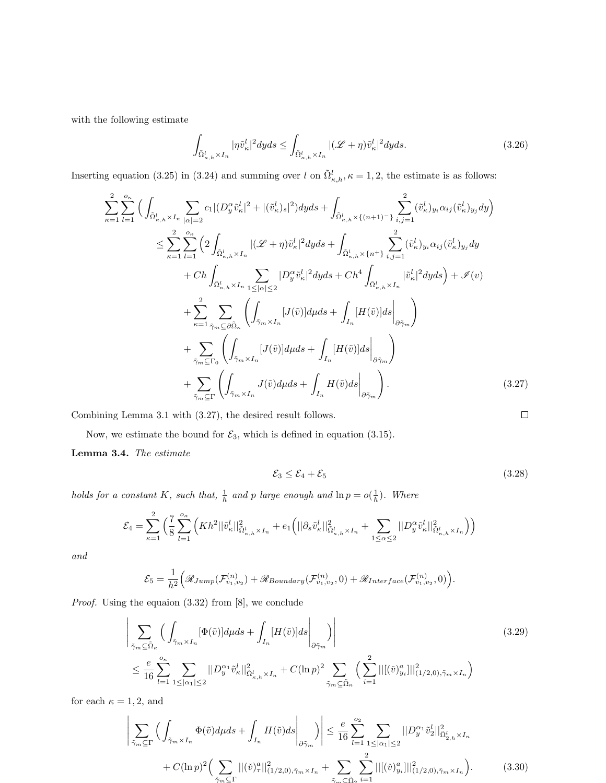with the following estimate

$$
\int_{\tilde{\Omega}^l_{\kappa,h}\times I_n} |\eta \tilde{v}^l_{\kappa}|^2 dyds \le \int_{\tilde{\Omega}^l_{\kappa,h}\times I_n} |(\mathscr{L}+\eta)\tilde{v}^l_{\kappa}|^2 dyds. \tag{3.26}
$$

Inserting equation (3.25) in (3.24) and summing over l on  $\tilde{\Omega}_{\kappa,h}^l$ ,  $\kappa = 1,2$ , the estimate is as follows:

$$
\sum_{\kappa=1}^{2} \sum_{l=1}^{o_{\kappa}} \Big( \int_{\tilde{\Omega}_{\kappa,h}^{l} \times I_{n}} \sum_{|\alpha|=2} c_{1} |(D_{y}^{\alpha} \tilde{v}_{\kappa}^{l}|^{2} + |(\tilde{v}_{\kappa}^{l})_{s}|^{2}) dyds + \int_{\tilde{\Omega}_{\kappa,h}^{l} \times \{(n+1)^{-}\}} \sum_{i,j=1}^{2} (\tilde{v}_{\kappa}^{l})_{y_{i}} \alpha_{ij} (\tilde{v}_{\kappa}^{l})_{y_{j}} dy \Big) \n\leq \sum_{\kappa=1}^{2} \sum_{l=1}^{o_{\kappa}} \Big( 2 \int_{\tilde{\Omega}_{\kappa,h}^{l} \times I_{n}} |(\mathcal{L} + \eta) \tilde{v}_{\kappa}^{l}|^{2} dyds + \int_{\tilde{\Omega}_{\kappa,h}^{l} \times \{n^{+}\}} \sum_{i,j=1}^{2} (\tilde{v}_{\kappa}^{l})_{y_{i}} \alpha_{ij} (\tilde{v}_{\kappa}^{l})_{y_{j}} dy \n+ Ch \int_{\tilde{\Omega}_{\kappa,h}^{l} \times I_{n}} \sum_{1 \leq |\alpha| \leq 2} |D_{y}^{\alpha} \tilde{v}_{\kappa}^{l}|^{2} dyds + Ch^{4} \int_{\tilde{\Omega}_{\kappa,h}^{l} \times I_{n}} |\tilde{v}_{\kappa}^{l}|^{2} dyds \Big) + \mathcal{I}(v) \n+ \sum_{\kappa=1}^{2} \sum_{\tilde{\gamma}_{m} \subseteq \partial \tilde{\Omega}_{\kappa}} \Big( \int_{\tilde{\gamma}_{m} \times I_{n}} [J(\tilde{v})] dyds + \int_{I_{n}} [H(\tilde{v})] ds \Big|_{\partial \tilde{\gamma}_{m}} \Big) \n+ \sum_{\tilde{\gamma}_{m} \subseteq \Gamma_{0}} \Big( \int_{\tilde{\gamma}_{m} \times I_{n}} [J(\tilde{v})] dyds + \int_{I_{n}} [H(\tilde{v})] ds \Big|_{\partial \tilde{\gamma}_{m}} \Big) \n+ \sum_{\tilde{\gamma}_{m} \subseteq \Gamma} \Big( \int_{\tilde{\gamma}_{m} \times I_{n}} J(\tilde{v}) dyds + \int_{I_{n}} H(\tilde{v})
$$

Combining Lemma 3.1 with (3.27), the desired result follows.

Now, we estimate the bound for  $\mathcal{E}_3$ , which is defined in equation (3.15).

Lemma 3.4. The estimate

$$
\mathcal{E}_3 \le \mathcal{E}_4 + \mathcal{E}_5 \tag{3.28}
$$

holds for a constant K, such that,  $\frac{1}{h}$  and p large enough and  $\ln p = o(\frac{1}{h})$ . Where

$$
\mathcal{E}_4 = \sum_{\kappa=1}^2 \left( \frac{7}{8} \sum_{l=1}^{o_{\kappa}} \left( Kh^2 ||\tilde{v}_{\kappa}^l||_{\tilde{\Omega}_{\kappa,h}^l \times I_n}^2 + e_1 \left( ||\partial_s \tilde{v}_{\kappa}^l||_{\tilde{\Omega}_{\kappa,h}^l \times I_n}^2 + \sum_{1 \le \alpha \le 2} ||D_y^{\alpha} \tilde{v}_{\kappa}^l||_{\tilde{\Omega}_{\kappa,h}^l \times I_n}^2 \right) \right)
$$

and

$$
\mathcal{E}_5 = \frac{1}{h^2} \Big( \mathcal{R}_{Jump}(\mathcal{F}_{v_1,v_2}^{(n)}) + \mathcal{R}_{Boundary}(\mathcal{F}_{v_1,v_2}^{(n)}, 0) + \mathcal{R}_{Interface}(\mathcal{F}_{v_1,v_2}^{(n)}, 0) \Big).
$$

Proof. Using the equaion (3.32) from [8], we conclude

$$
\left| \sum_{\tilde{\gamma}_m \subseteq \tilde{\Omega}_{\kappa}} \left( \int_{\tilde{\gamma}_m \times I_n} [\Phi(\tilde{v})] d\mu ds + \int_{I_n} [H(\tilde{v})] ds \right|_{\partial \tilde{\gamma}_m} \right) \right|
$$
\n
$$
\leq \frac{e}{16} \sum_{l=1}^{o_{\kappa}} \sum_{1 \leq |\alpha_1| \leq 2} ||D_y^{\alpha_1} \tilde{v}_{\kappa}^l||_{\Omega_{\kappa,h}^l \times I_n}^2 + C(\ln p)^2 \sum_{\tilde{\gamma}_m \subseteq \tilde{\Omega}_{\kappa}} \left( \sum_{i=1}^2 ||[(\tilde{v})_{y_i}^a]||_{(1/2,0), \tilde{\gamma}_m \times I_n}^2 \right)
$$
\n(3.29)

for each  $\kappa = 1, 2$ , and

$$
\left| \sum_{\tilde{\gamma}_m \subseteq \Gamma} \left( \int_{\tilde{\gamma}_m \times I_n} \Phi(\tilde{v}) d\mu ds + \int_{I_n} H(\tilde{v}) ds \Big|_{\partial \tilde{\gamma}_m} \right) \right| \leq \frac{e}{16} \sum_{l=1}^{o_2} \sum_{1 \leq |\alpha_1| \leq 2} ||D_y^{\alpha_1} \tilde{v}_2^l||_{\tilde{\Omega}_{2,h}^l \times I_n}^2 + C(\ln p)^2 \Big( \sum_{\tilde{\gamma}_m \subseteq \Gamma} ||(\tilde{v})_{{\tau}}^a||_{(1/2,0), \tilde{\gamma}_m \times I_n}^2 + \sum_{\tilde{\gamma}_m \subseteq \tilde{\Omega}_2} \sum_{i=1}^2 ||[(\tilde{v})_{{y}_i}^a]||_{(1/2,0), \tilde{\gamma}_m \times I_n}^2 \Big). \tag{3.30}
$$

$$
\qquad \qquad \Box
$$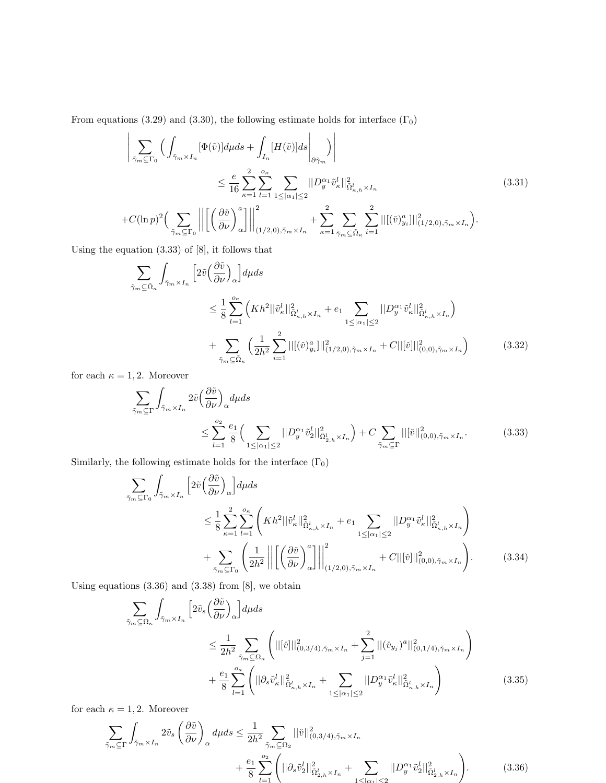From equations (3.29) and (3.30), the following estimate holds for interface  $(\Gamma_0)$ 

$$
\left| \sum_{\tilde{\gamma}_m \subseteq \Gamma_0} \left( \int_{\tilde{\gamma}_m \times I_n} [\Phi(\tilde{v})] d\mu ds + \int_{I_n} [H(\tilde{v})] ds \right|_{\partial \tilde{\gamma}_m} \right) \right|
$$
\n
$$
\leq \frac{e}{16} \sum_{\kappa=1}^2 \sum_{l=1}^{o_{\kappa}} \sum_{1 \leq |\alpha_1| \leq 2} ||D_y^{\alpha_1} \tilde{v}_{\kappa}^l||_{\tilde{\Omega}_{\kappa,h}^l \times I_n}^2
$$
\n
$$
+ C(\ln p)^2 \Big( \sum_{\tilde{\gamma}_m \subseteq \Gamma_0} \left| \left| \left[ \left( \frac{\partial \tilde{v}}{\partial \nu} \right)_\alpha^a \right] \right| \right|_{(1/2,0), \tilde{\gamma}_m \times I_n}^2 + \sum_{\kappa=1}^2 \sum_{\tilde{\gamma}_m \subseteq \tilde{\Omega}_{\kappa}} \sum_{i=1}^2 ||[(\tilde{v})_{y_i}^a]||_{(1/2,0), \tilde{\gamma}_m \times I_n}^2 \Big). \tag{3.31}
$$

Using the equation (3.33) of [8], it follows that

$$
\sum_{\tilde{\gamma}_m \subseteq \tilde{\Omega}_{\kappa}} \int_{\tilde{\gamma}_m \times I_n} \left[ 2\tilde{v} \left( \frac{\partial \tilde{v}}{\partial \nu} \right)_{\alpha} \right] d\mu ds
$$
\n
$$
\leq \frac{1}{8} \sum_{l=1}^{o_{\kappa}} \left( K h^2 ||\tilde{v}_{\kappa}^l||_{\tilde{\Omega}_{\kappa,h}^l \times I_n}^2 + e_1 \sum_{1 \leq |\alpha_1| \leq 2} ||D_y^{\alpha_1} \tilde{v}_{\kappa}^l||_{\tilde{\Omega}_{\kappa,h}^l \times I_n}^2 \right)
$$
\n
$$
+ \sum_{\tilde{\gamma}_m \subseteq \tilde{\Omega}_{\kappa}} \left( \frac{1}{2h^2} \sum_{i=1}^2 ||[ (\check{v})_{y_i}^a] ||_{(1/2,0), \tilde{\gamma}_m \times I_n}^2 + C ||[ \check{v} ] ||_{(0,0), \tilde{\gamma}_m \times I_n}^2 \right) \tag{3.32}
$$

for each  $\kappa = 1, 2$ . Moreover

$$
\sum_{\tilde{\gamma}_m \subseteq \Gamma} \int_{\tilde{\gamma}_m \times I_n} 2\tilde{v} \left(\frac{\partial \tilde{v}}{\partial \nu}\right)_{\alpha} d\mu ds
$$
\n
$$
\leq \sum_{l=1}^{o_2} \frac{e_1}{8} \left( \sum_{1 \leq |\alpha_1| \leq 2} ||D_y^{\alpha_1} \tilde{v}_2^l||_{\tilde{\Omega}_{2,h}^l \times I_n}^2 \right) + C \sum_{\tilde{\gamma}_m \subseteq \Gamma} ||[\tilde{v}||_{(0,0), \tilde{\gamma}_m \times I_n}^2. \tag{3.33}
$$

Similarly, the following estimate holds for the interface  $(\Gamma_0)$ 

$$
\sum_{\tilde{\gamma}_m \subseteq \Gamma_0} \int_{\tilde{\gamma}_m \times I_n} \left[ 2\tilde{v} \left( \frac{\partial \tilde{v}}{\partial \nu} \right)_\alpha \right] d\mu ds
$$
\n
$$
\leq \frac{1}{8} \sum_{\kappa=1}^2 \sum_{l=1}^{o_{\kappa}} \left( K h^2 ||\tilde{v}_{\kappa}^l||_{\tilde{\Omega}_{\kappa,h}^l \times I_n}^2 + e_1 \sum_{1 \leq |\alpha_1| \leq 2} ||D_y^{\alpha_1} \tilde{v}_{\kappa}^l||_{\tilde{\Omega}_{\kappa,h}^l \times I_n}^2 \right)
$$
\n
$$
+ \sum_{\tilde{\gamma}_m \subseteq \Gamma_0} \left( \frac{1}{2h^2} \left\| \left[ \left( \frac{\partial \tilde{v}}{\partial \nu} \right)_\alpha^a \right] \right\|_{(1/2,0), \tilde{\gamma}_m \times I_n}^2 + C ||[\tilde{v}]||_{(0,0), \tilde{\gamma}_m \times I_n}^2 \right). \tag{3.34}
$$

Using equations (3.36) and (3.38) from [8], we obtain

$$
\sum_{\tilde{\gamma}_{m}\subseteq\Omega_{\kappa}}\int_{\tilde{\gamma}_{m}\times I_{n}}\left[2\tilde{v}_{s}\left(\frac{\partial\tilde{v}}{\partial\nu}\right)_{\alpha}\right]d\mu ds
$$
\n
$$
\leq\frac{1}{2h^{2}}\sum_{\tilde{\gamma}_{m}\subseteq\Omega_{\kappa}}\left(||[\tilde{v}|||_{(0,3/4),\tilde{\gamma}_{m}\times I_{n}}^{2}+\sum_{j=1}^{2}||(\tilde{v}_{y_{j}})^{a}||_{(0,1/4),\tilde{\gamma}_{m}\times I_{n}}^{2}\right)
$$
\n
$$
+\frac{e_{1}}{8}\sum_{l=1}^{o_{\kappa}}\left(||\partial_{s}\tilde{v}_{\kappa}^{l}||_{\tilde{\Omega}_{\kappa,h}^{l}\times I_{n}}^{2}+\sum_{1\leq|\alpha_{1}|\leq2}||D_{y}^{\alpha_{1}}\tilde{v}_{\kappa}^{l}||_{\tilde{\Omega}_{\kappa,h}^{l}\times I_{n}}^{2}\right) \tag{3.35}
$$

for each  $\kappa = 1, 2$ . Moreover

$$
\sum_{\tilde{\gamma}_m \subseteq \Gamma} \int_{\tilde{\gamma}_m \times I_n} 2\tilde{v}_s \left(\frac{\partial \tilde{v}}{\partial \nu}\right)_{\alpha} d\mu ds \le \frac{1}{2h^2} \sum_{\tilde{\gamma}_m \subseteq \Omega_2} ||\tilde{v}||^2_{(0,3/4),\tilde{\gamma}_m \times I_n} \n+ \frac{e_1}{8} \sum_{l=1}^{o_2} \left( ||\partial_s \tilde{v}_2^l||^2_{\tilde{\Omega}_{2,h}^l \times I_n} + \sum_{1 \le |\alpha_1| \le 2} ||D_y^{\alpha_1} \tilde{v}_2^l||^2_{\tilde{\Omega}_{2,h}^l \times I_n} \right).
$$
\n(3.36)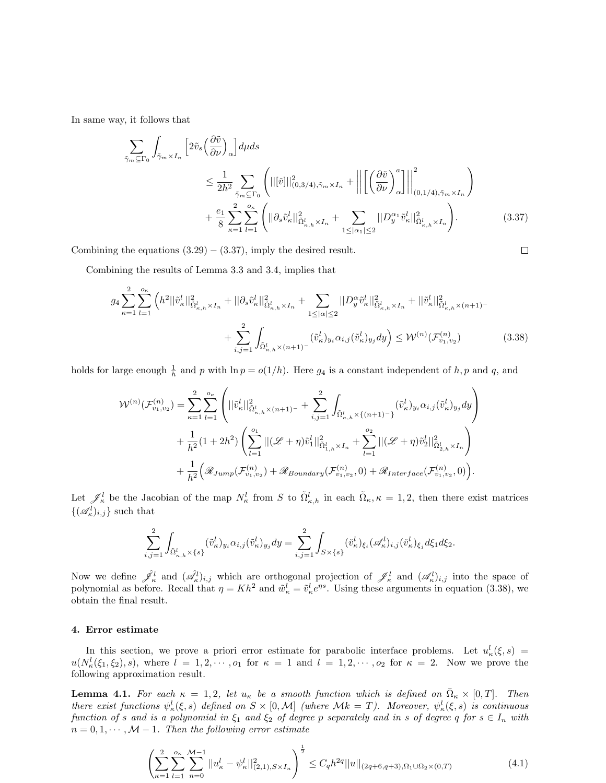In same way, it follows that

$$
\sum_{\tilde{\gamma}_m \subseteq \Gamma_0} \int_{\tilde{\gamma}_m \times I_n} \left[ 2\tilde{v}_s \left( \frac{\partial \tilde{v}}{\partial \nu} \right)_\alpha \right] d\mu ds
$$
\n
$$
\leq \frac{1}{2h^2} \sum_{\tilde{\gamma}_m \subseteq \Gamma_0} \left( ||[\tilde{v}]||^2_{(0,3/4),\tilde{\gamma}_m \times I_n} + \left\| \left[ \left( \frac{\partial \tilde{v}}{\partial \nu} \right)_\alpha^a \right] \right\|_{(0,1/4),\tilde{\gamma}_m \times I_n}^2 \right)
$$
\n
$$
+ \frac{e_1}{8} \sum_{\kappa=1}^2 \sum_{l=1}^{o_{\kappa}} \left( ||\partial_s \tilde{v}_\kappa^l||^2_{\tilde{\Omega}^l_{\kappa,h} \times I_n} + \sum_{1 \leq |\alpha_1| \leq 2} ||D_y^{\alpha_1} \tilde{v}_\kappa^l||^2_{\tilde{\Omega}^l_{\kappa,h} \times I_n} \right). \tag{3.37}
$$

 $\Box$ 

Combining the equations  $(3.29) - (3.37)$ , imply the desired result.

Combining the results of Lemma 3.3 and 3.4, implies that

$$
g_{4} \sum_{\kappa=1}^{2} \sum_{l=1}^{\sigma_{\kappa}} \left( h^{2} ||\tilde{v}_{\kappa}^{l}||_{\tilde{\Omega}_{\kappa,h}^{l} \times I_{n}}^{2} + ||\partial_{s} \tilde{v}_{\kappa}^{l}||_{\tilde{\Omega}_{\kappa,h}^{l} \times I_{n}}^{2} + \sum_{1 \leq |\alpha| \leq 2} ||D_{y}^{\alpha} \tilde{v}_{\kappa}^{l}||_{\tilde{\Omega}_{\kappa,h}^{l} \times I_{n}}^{2} + ||\tilde{v}_{\kappa}^{l}||_{\tilde{\Omega}_{\kappa,h}^{l} \times (n+1)}^{2} - \sum_{i,j=1}^{2} \int_{\tilde{\Omega}_{\kappa,h}^{l} \times (n+1)-} (\tilde{v}_{\kappa}^{l})_{y_{i}} \alpha_{i,j}(\tilde{v}_{\kappa}^{l})_{y_{j}} dy \right) \leq \mathcal{W}^{(n)}(\mathcal{F}_{v_{1},v_{2}}^{(n)}) \tag{3.38}
$$

holds for large enough  $\frac{1}{h}$  and p with  $\ln p = o(1/h)$ . Here  $g_4$  is a constant independent of  $h, p$  and q, and

$$
\mathcal{W}^{(n)}(\mathcal{F}_{v_1,v_2}^{(n)}) = \sum_{\kappa=1}^2 \sum_{l=1}^{o_{\kappa}} \left( ||\tilde{v}_{\kappa}^l||_{\tilde{\Omega}_{\kappa,h}^l \times (n+1)^{-}}^2 + \sum_{i,j=1}^2 \int_{\tilde{\Omega}_{\kappa,h}^l \times \{(n+1)^{-}\}} (\tilde{v}_{\kappa}^l)_{y_i} \alpha_{i,j} (\tilde{v}_{\kappa}^l)_{y_j} dy \right) + \frac{1}{h^2} (1 + 2h^2) \left( \sum_{l=1}^{o_1} ||(\mathcal{L} + \eta) \tilde{v}_1^l||_{\tilde{\Omega}_{1,h}^l \times I_n}^2 + \sum_{l=1}^{o_2} ||(\mathcal{L} + \eta) \tilde{v}_2^l||_{\tilde{\Omega}_{2,h}^l \times I_n}^2 \right) + \frac{1}{h^2} (\mathcal{R}_{Jump}(\mathcal{F}_{v_1,v_2}^{(n)}) + \mathcal{R}_{Boundary}(\mathcal{F}_{v_1,v_2}^{(n)}, 0) + \mathcal{R}_{Interface}(\mathcal{F}_{v_1,v_2}^{(n)}, 0)).
$$

Let  $\mathscr{J}_\kappa^l$  be the Jacobian of the map  $N_\kappa^l$  from S to  $\tilde{\Omega}_{\kappa,h}^l$  in each  $\tilde{\Omega}_{\kappa,\kappa}$  = 1, 2, then there exist matrices  $\{(\mathscr{A}_{\kappa}^l)_{i,j}\}\$  such that

$$
\sum_{i,j=1}^2 \int_{\tilde{\Omega}_{\kappa,h}^l\times \{s\}} (\tilde{v}_\kappa^l)_{y_i} \alpha_{i,j} (\tilde{v}_\kappa^l)_{y_j} dy = \sum_{i,j=1}^2 \int_{S\times \{s\}} (\tilde{v}_\kappa^l)_{\xi_i} (\mathscr{A}_{\kappa}^l)_{i,j} (\tilde{v}_\kappa^l)_{\xi_j} d\xi_1 d\xi_2.
$$

Now we define  $\hat{\mathscr{J}}_k^l$  and  $(\hat{\mathscr{A}}_k^l)_{i,j}$  which are orthogonal projection of  $\mathscr{J}_k^l$  and  $(\mathscr{A}_k^l)_{i,j}$  into the space of polynomial as before. Recall that  $\eta = Kh^2$  and  $\tilde{w}_k^l = \tilde{v}_k^l e^{\eta s}$ . Using these arguments in equation (3.38), we obtain the final result.

## 4. Error estimate

In this section, we prove a priori error estimate for parabolic interface problems. Let  $u^l_{\kappa}(\xi, s) =$  $u(N_k^l(\xi_1,\xi_2),s)$ , where  $l=1,2,\cdots,o_1$  for  $\kappa=1$  and  $l=1,2,\cdots,o_2$  for  $\kappa=2$ . Now we prove the following approximation result.

**Lemma 4.1.** For each  $\kappa = 1, 2$ , let  $u_{\kappa}$  be a smooth function which is defined on  $\bar{\Omega}_{\kappa} \times [0, T]$ . Then there exist functions  $\psi_{\kappa}^l(\xi, s)$  defined on  $S \times [0, \mathcal{M}]$  (where  $\mathcal{M}k = T$ ). Moreover,  $\psi_{\kappa}^l(\xi, s)$  is continuous function of s and is a polynomial in  $\xi_1$  and  $\xi_2$  of degree p separately and in s of degree q for  $s \in I_n$  with  $n = 0, 1, \cdots, \mathcal{M} - 1$ . Then the following error estimate

$$
\left(\sum_{\kappa=1}^{2}\sum_{l=1}^{o_{\kappa}}\sum_{n=0}^{M-1}||u_{\kappa}^{l}-\psi_{\kappa}^{l}||_{(2,1),S\times I_{n}}^{2}\right)^{\frac{1}{2}}\leq C_{q}h^{2q}||u||_{(2q+6,q+3),\Omega_{1}\cup\Omega_{2}\times(0,T)}\tag{4.1}
$$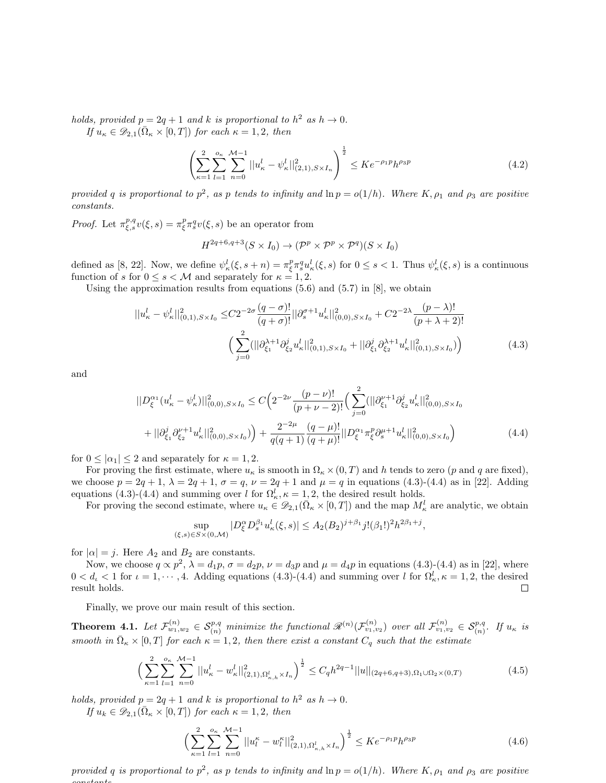holds, provided  $p = 2q + 1$  and k is proportional to  $h^2$  as  $h \to 0$ .

If  $u_{\kappa} \in \mathscr{D}_{2,1}(\bar{\Omega}_{\kappa} \times [0,T])$  for each  $\kappa = 1,2$ , then

$$
\left(\sum_{\kappa=1}^{2} \sum_{l=1}^{o_{\kappa}} \sum_{n=0}^{M-1} ||u_{\kappa}^{l} - \psi_{\kappa}^{l}||_{(2,1), S \times I_{n}}^{2}\right)^{\frac{1}{2}} \leq Ke^{-\rho_{1}p}h^{\rho_{3}p}
$$
\n(4.2)

provided q is proportional to  $p^2$ , as p tends to infinity and  $\ln p = o(1/h)$ . Where K,  $\rho_1$  and  $\rho_3$  are positive constants.

*Proof.* Let  $\pi_{\xi,s}^{p,q}v(\xi,s) = \pi_{\xi}^p\pi_s^qv(\xi,s)$  be an operator from

$$
H^{2q+6,q+3}(S \times I_0) \to (\mathcal{P}^p \times \mathcal{P}^p \times \mathcal{P}^q)(S \times I_0)
$$

defined as [8, 22]. Now, we define  $\psi^l_\kappa(\xi, s + n) = \pi^p_\xi \pi^q_s u^l_\kappa(\xi, s)$  for  $0 \le s < 1$ . Thus  $\psi^l_\kappa(\xi, s)$  is a continuous function of s for  $0 \le s < M$  and separately for  $\kappa = 1, 2$ .

Using the approximation results from equations  $(5.6)$  and  $(5.7)$  in  $[8]$ , we obtain

$$
||u_{\kappa}^{l} - \psi_{\kappa}^{l}||_{(0,1),S\times I_{0}}^{2} \leq C2^{-2\sigma} \frac{(q-\sigma)!}{(q+\sigma)!} ||\partial_{s}^{\sigma+1} u_{\kappa}^{l}||_{(0,0),S\times I_{0}}^{2} + C2^{-2\lambda} \frac{(p-\lambda)!}{(p+\lambda+2)!}
$$

$$
\Big(\sum_{j=0}^{2} (||\partial_{\xi_{1}}^{\lambda+1} \partial_{\xi_{2}}^{j} u_{\kappa}^{l}||_{(0,1),S\times I_{0}}^{2} + ||\partial_{\xi_{1}}^{j} \partial_{\xi_{2}}^{\lambda+1} u_{\kappa}^{l}||_{(0,1),S\times I_{0}}^{2}\Big) \Big) \tag{4.3}
$$

and

$$
||D_{\xi}^{\alpha_{1}}(u_{\kappa}^{l} - \psi_{\kappa}^{l})||_{(0,0),S\times I_{0}}^{2} \leq C\Big(2^{-2\nu}\frac{(p-\nu)!}{(p+\nu-2)!}\Big(\sum_{j=0}^{2} (||\partial_{\xi_{1}}^{\nu+1}\partial_{\xi_{2}}^{j}u_{\kappa}^{l}||_{(0,0),S\times I_{0}}^{2} + ||\partial_{\xi_{1}}^{j}\partial_{\xi_{2}}^{\nu+1}u_{\kappa}^{l}||_{(0,0),S\times I_{0}}^{2}\Big) + \frac{2^{-2\mu}}{q(q+1)}\frac{(q-\mu)!}{(q+\mu)!}||D_{\xi}^{\alpha_{1}}\pi_{\xi}^{p}\partial_{s}^{\mu+1}u_{\kappa}^{l}||_{(0,0),S\times I_{0}}^{2}\Big) \tag{4.4}
$$

for  $0 \leq |\alpha_1| \leq 2$  and separately for  $\kappa = 1, 2$ .

For proving the first estimate, where  $u_{\kappa}$  is smooth in  $\Omega_{\kappa} \times (0,T)$  and h tends to zero (p and q are fixed), we choose  $p = 2q + 1$ ,  $\lambda = 2q + 1$ ,  $\sigma = q$ ,  $\nu = 2q + 1$  and  $\mu = q$  in equations (4.3)-(4.4) as in [22]. Adding equations (4.3)-(4.4) and summing over l for  $\Omega_{\kappa}^{l}$ ,  $\kappa = 1, 2$ , the desired result holds.

For proving the second estimate, where  $u_{\kappa} \in \mathcal{D}_{2,1}(\bar{\Omega}_{\kappa} \times [0,T])$  and the map  $M_{\kappa}^{l}$  are analytic, we obtain

$$
\sup_{(\xi,s)\in S\times(0,\mathcal{M})}|D_{\xi}^{\alpha}D_{s}^{\beta_{1}}u_{\kappa}^{l}(\xi,s)| \leq A_{2}(B_{2})^{j+\beta_{1}}j!(\beta_{1}!)^{2}h^{2\beta_{1}+j},
$$

for  $|\alpha| = j$ . Here  $A_2$  and  $B_2$  are constants.

Now, we choose  $q \propto p^2$ ,  $\lambda = d_1p$ ,  $\sigma = d_2p$ ,  $\nu = d_3p$  and  $\mu = d_4p$  in equations (4.3)-(4.4) as in [22], where  $0 < d_{\iota} < 1$  for  $\iota = 1, \dots, 4$ . Adding equations  $(4.3)$ - $(4.4)$  and summing over l for  $\Omega_{\kappa}^{l}, \kappa = 1, 2$ , the desired result holds.  $\Box$ 

Finally, we prove our main result of this section.

**Theorem 4.1.** Let  $\mathcal{F}^{(n)}_{w_1,w_2} \in \mathcal{S}_{(n)}^{p,q}$  minimize the functional  $\mathscr{R}^{(n)}(\mathcal{F}^{(n)}_{v_1,v_2})$  over all  $\mathcal{F}^{(n)}_{v_1,v_2} \in \mathcal{S}_{(n)}^{p,q}$ . If  $u_{\kappa}$  is smooth in  $\bar{\Omega}_{\kappa} \times [0,T]$  for each  $\kappa = 1,2$ , then there exist a constant  $C_q$  such that the estimate

$$
\left(\sum_{\kappa=1}^{2}\sum_{l=1}^{o_{\kappa}}\sum_{n=0}^{\mathcal{M}-1}||u_{\kappa}^{l}-w_{\kappa}^{l}||_{(2,1),\Omega_{\kappa,h}^{l}\times I_{n}}^{2}\right)^{\frac{1}{2}} \leq C_{q}h^{2q-1}||u||_{(2q+6,q+3),\Omega_{1}\cup\Omega_{2}\times(0,T)}
$$
(4.5)

holds, provided  $p = 2q + 1$  and k is proportional to  $h^2$  as  $h \to 0$ .

If  $u_k \in \mathscr{D}_{2,1}(\bar{\Omega}_\kappa \times [0,T])$  for each  $\kappa = 1,2$ , then

$$
\left(\sum_{\kappa=1}^{2}\sum_{l=1}^{o_{\kappa}}\sum_{n=0}^{\mathcal{M}-1}||u_{l}^{\kappa}-w_{l}^{\kappa}||_{(2,1),\Omega_{\kappa,h}^{l}\times I_{n}}^{2}\right)^{\frac{1}{2}}\leq Ke^{-\rho_{1}p}h^{\rho_{3}p}
$$
\n(4.6)

provided q is proportional to  $p^2$ , as p tends to infinity and  $\ln p = o(1/h)$ . Where  $K, \rho_1$  and  $\rho_3$  are positive constants.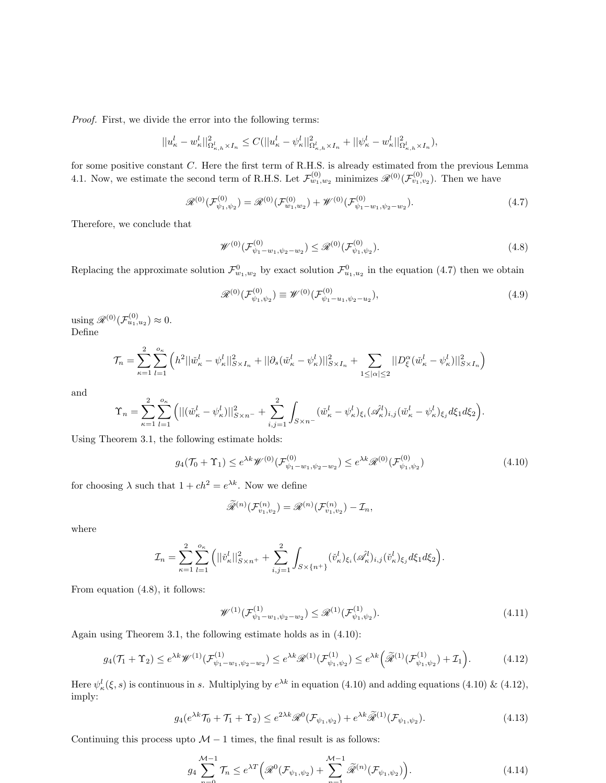Proof. First, we divide the error into the following terms:

$$
||u_{\kappa}^l - w_{\kappa}^l||_{\Omega_{\kappa,h}^l \times I_n}^2 \leq C(||u_{\kappa}^l - \psi_{\kappa}^l||_{\Omega_{\kappa,h}^l \times I_n}^2 + ||\psi_{\kappa}^l - w_{\kappa}^l||_{\Omega_{\kappa,h}^l \times I_n}^2),
$$

for some positive constant C. Here the first term of R.H.S. is already estimated from the previous Lemma 4.1. Now, we estimate the second term of R.H.S. Let  $\mathcal{F}_{w_1,w_2}^{(0)}$  minimizes  $\mathscr{R}^{(0)}(\mathcal{F}_{v_1,v_2}^{(0)})$ . Then we have

$$
\mathscr{R}^{(0)}(\mathcal{F}_{\psi_1,\psi_2}^{(0)}) = \mathscr{R}^{(0)}(\mathcal{F}_{w_1,w_2}^{(0)}) + \mathscr{W}^{(0)}(\mathcal{F}_{\psi_1-w_1,\psi_2-w_2}^{(0)}). \tag{4.7}
$$

Therefore, we conclude that

$$
\mathscr{W}^{(0)}(\mathcal{F}_{\psi_1-w_1,\psi_2-w_2}^{(0)}) \leq \mathscr{R}^{(0)}(\mathcal{F}_{\psi_1,\psi_2}^{(0)}).
$$
\n(4.8)

Replacing the approximate solution  $\mathcal{F}^0_{w_1,w_2}$  by exact solution  $\mathcal{F}^0_{u_1,u_2}$  in the equation (4.7) then we obtain

$$
\mathcal{R}^{(0)}(\mathcal{F}_{\psi_1,\psi_2}^{(0)}) \equiv \mathcal{W}^{(0)}(\mathcal{F}_{\psi_1-u_1,\psi_2-u_2}^{(0)}),\tag{4.9}
$$

using  $\mathscr{R}^{(0)}(\mathcal{F}^{(0)}_{u_1,u_2}) \approx 0.$ Define

$$
\mathcal{T}_n = \sum_{\kappa=1}^2 \sum_{l=1}^{o_{\kappa}} \left( h^2 ||\check{w}_{\kappa}^l - \psi_{\kappa}^l||_{S \times I_n}^2 + ||\partial_s(\check{w}_{\kappa}^l - \psi_{\kappa}^l)||_{S \times I_n}^2 + \sum_{1 \le |\alpha| \le 2} ||D^{\alpha}_{\xi}(\check{w}_{\kappa}^l - \psi_{\kappa}^l)||_{S \times I_n}^2 \right)
$$

and

$$
\Upsilon_n = \sum_{\kappa=1}^2 \sum_{l=1}^{o_{\kappa}} \left( ||(\check{w}_{\kappa}^l - \psi_{\kappa}^l) ||_{S \times n^-}^2 + \sum_{i,j=1}^2 \int_{S \times n^-} (\check{w}_{\kappa}^l - \psi_{\kappa}^l)_{\xi_i} (\mathscr{A}_{\kappa}^l)_{i,j} (\check{w}_{\kappa}^l - \psi_{\kappa}^l)_{\xi_j} d\xi_1 d\xi_2 \right).
$$

Using Theorem 3.1, the following estimate holds:

$$
g_4(\mathcal{T}_0 + \Upsilon_1) \le e^{\lambda k} \mathscr{W}^{(0)}(\mathcal{F}_{\psi_1 - w_1, \psi_2 - w_2}^{(0)}) \le e^{\lambda k} \mathscr{R}^{(0)}(\mathcal{F}_{\psi_1, \psi_2}^{(0)})
$$
(4.10)

for choosing  $\lambda$  such that  $1 + ch^2 = e^{\lambda k}$ . Now we define

$$
\widetilde{\mathscr{R}}^{(n)}(\mathcal{F}_{v_1,v_2}^{(n)})=\mathscr{R}^{(n)}(\mathcal{F}_{v_1,v_2}^{(n)})-\mathcal{I}_n,
$$

where

$$
\mathcal{I}_n = \sum_{\kappa=1}^2 \sum_{l=1}^{o_{\kappa}} \left( ||\check{v}_{\kappa}^l||_{S\times n^+}^2 + \sum_{i,j=1}^2 \int_{S\times\{n^+\}} (\check{v}_{\kappa}^l)_{\xi_i} (\mathscr{A}_{\kappa}^l)_{i,j} (\check{v}_{\kappa}^l)_{\xi_j} d\xi_1 d\xi_2 \right).
$$

From equation (4.8), it follows:

$$
\mathscr{W}^{(1)}(\mathcal{F}_{\psi_1-w_1,\psi_2-w_2}^{(1)}) \leq \mathscr{R}^{(1)}(\mathcal{F}_{\psi_1,\psi_2}^{(1)}). \tag{4.11}
$$

Again using Theorem 3.1, the following estimate holds as in (4.10):

$$
g_4(\mathcal{T}_1 + \Upsilon_2) \le e^{\lambda k} \mathscr{W}^{(1)}(\mathcal{F}_{\psi_1 - w_1, \psi_2 - w_2}^{(1)}) \le e^{\lambda k} \mathscr{R}^{(1)}(\mathcal{F}_{\psi_1, \psi_2}^{(1)}) \le e^{\lambda k} \left(\widetilde{\mathscr{R}}^{(1)}(\mathcal{F}_{\psi_1, \psi_2}^{(1)}) + \mathcal{I}_1\right).
$$
(4.12)

Here  $\psi_{\kappa}^{l}(\xi, s)$  is continuous in s. Multiplying by  $e^{\lambda k}$  in equation (4.10) and adding equations (4.10) & (4.12), imply:

$$
g_4(e^{\lambda k}\mathcal{T}_0 + \mathcal{T}_1 + \Upsilon_2) \le e^{2\lambda k} \mathcal{R}^0(\mathcal{F}_{\psi_1,\psi_2}) + e^{\lambda k} \tilde{\mathcal{R}}^{(1)}(\mathcal{F}_{\psi_1,\psi_2}).
$$
\n(4.13)

Continuing this process upto  $M - 1$  times, the final result is as follows:

$$
g_4 \sum_{n=0}^{\mathcal{M}-1} \mathcal{T}_n \le e^{\lambda T} \Big( \mathcal{R}^0(\mathcal{F}_{\psi_1,\psi_2}) + \sum_{n=1}^{\mathcal{M}-1} \widetilde{\mathcal{R}}^{(n)}(\mathcal{F}_{\psi_1,\psi_2}) \Big). \tag{4.14}
$$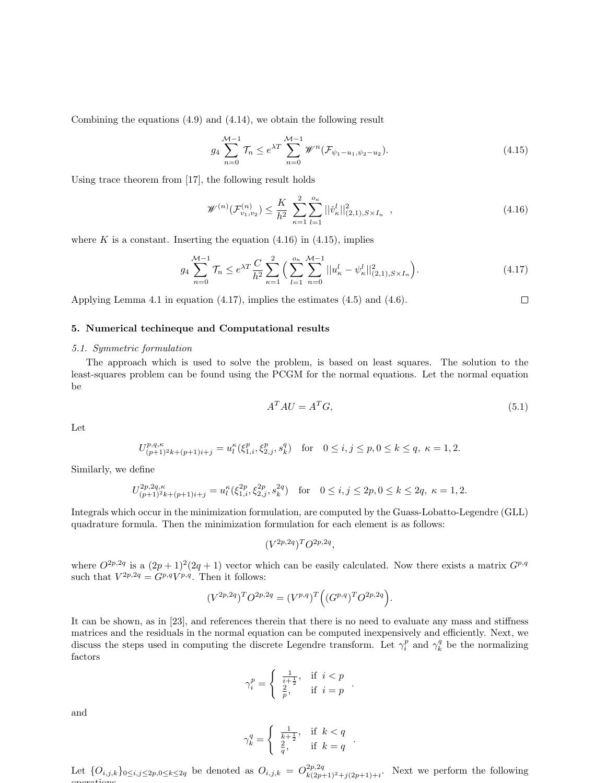Combining the equations (4.9) and (4.14), we obtain the following result

$$
g_4 \sum_{n=0}^{\mathcal{M}-1} \mathcal{T}_n \le e^{\lambda T} \sum_{n=0}^{\mathcal{M}-1} \mathcal{W}^n(\mathcal{F}_{\psi_1 - u_1, \psi_2 - u_2}). \tag{4.15}
$$

Using trace theorem from [17], the following result holds

$$
\mathscr{W}^{(n)}(\mathcal{F}_{v_1,v_2}^{(n)}) \le \frac{K}{h^2} \sum_{\kappa=1}^2 \sum_{l=1}^{o_{\kappa}} ||\check{v}_{\kappa}^l||_{(2,1), S \times I_n}^2 , \qquad (4.16)
$$

where K is a constant. Inserting the equation  $(4.16)$  in  $(4.15)$ , implies

$$
g_4 \sum_{n=0}^{\mathcal{M}-1} \mathcal{T}_n \le e^{\lambda T} \frac{C}{h^2} \sum_{\kappa=1}^2 \Big( \sum_{l=1}^{o_{\kappa}} \sum_{n=0}^{\mathcal{M}-1} ||u_{\kappa}^l - \psi_{\kappa}^l||_{(2,1), S \times I_n}^2 \Big). \tag{4.17}
$$

Applying Lemma 4.1 in equation (4.17), implies the estimates (4.5) and (4.6).

#### 5. Numerical techineque and Computational results

#### 5.1. Symmetric formulation

The approach which is used to solve the problem, is based on least squares. The solution to the least-squares problem can be found using the PCGM for the normal equations. Let the normal equation be

$$
A^T A U = A^T G,\tag{5.1}
$$

 $\Box$ 

Let

$$
U_{(p+1)^2k + (p+1)i+j}^{p,q,\kappa} = u_l^{\kappa}(\xi_{1,i}^p, \xi_{2,j}^p, s_k^q) \quad \text{for} \quad 0 \le i, j \le p, 0 \le k \le q, \ \kappa = 1, 2.
$$

Similarly, we define

$$
U_{(p+1)^2k+(p+1)i+j}^{2p,2q,\kappa} = u_l^{\kappa}(\xi_{1,i}^{2p}, \xi_{2,j}^{2p}, s_k^{2q}) \quad \text{for} \quad 0 \le i, j \le 2p, 0 \le k \le 2q, \ \kappa = 1, 2.
$$

Integrals which occur in the minimization formulation, are computed by the Guass-Lobatto-Legendre (GLL) quadrature formula. Then the minimization formulation for each element is as follows:

$$
(V^{2p,2q})^T O^{2p,2q},
$$

where  $O^{2p,2q}$  is a  $(2p+1)^2(2q+1)$  vector which can be easily calculated. Now there exists a matrix  $G^{p,q}$ such that  $V^{2p,2q} = G^{p,q}V^{p,q}$ . Then it follows:

$$
(V^{2p,2q})^T O^{2p,2q} = (V^{p,q})^T ((G^{p,q})^T O^{2p,2q}).
$$

It can be shown, as in [23], and references therein that there is no need to evaluate any mass and stiffness matrices and the residuals in the normal equation can be computed inexpensively and efficiently. Next, we discuss the steps used in computing the discrete Legendre transform. Let  $\gamma_i^p$  and  $\gamma_k^q$  be the normalizing factors

$$
\gamma_i^p = \left\{ \begin{array}{ll} \frac{1}{i+\frac{1}{2}}, & \mbox{if} \;\; i < p \\ \frac{2}{p}, & \mbox{if} \;\; i = p \end{array} \right. .
$$

and

$$
\gamma_k^q=\left\{\begin{array}{ll} \frac{1}{k+\frac{1}{2}},&\text{if}\;\;k< q\\ \frac{2}{q},&\text{if}\;\;k=q \end{array}\right.
$$

.

Let  $\{O_{i,j,k}\}_{0\leq i,j\leq 2p,0\leq k\leq 2q}$  be denoted as  $O_{i,j,k} = O^{2p,2q}_{k(2p+1)^2+j(2p+1)+i}$ . Next we perform the following operations.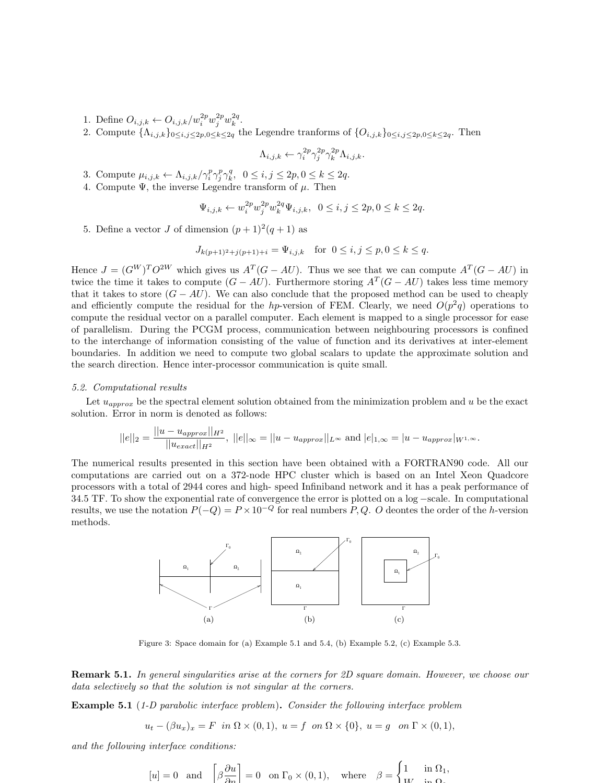- 1. Define  $O_{i,j,k} \leftarrow O_{i,j,k}/w_i^{2p}w_j^{2p}w_k^{2q}$ .
- 2. Compute  $\{\Lambda_{i,j,k}\}_{0\leq i,j\leq 2p,0\leq k\leq 2q}$  the Legendre tranforms of  $\{O_{i,j,k}\}_{0\leq i,j\leq 2p,0\leq k\leq 2q}$ . Then

$$
\Lambda_{i,j,k} \leftarrow \gamma_i^{2p} \gamma_j^{2p} \gamma_k^{2p} \Lambda_{i,j,k}.
$$

- 3. Compute  $\mu_{i,j,k} \leftarrow \Lambda_{i,j,k} / \gamma_i^p \gamma_j^p \gamma_k^q$ ,  $0 \leq i, j \leq 2p, 0 \leq k \leq 2q$ .
- 4. Compute  $\Psi$ , the inverse Legendre transform of  $\mu$ . Then

$$
\Psi_{i,j,k} \leftarrow w_i^{2p} w_j^{2p} w_k^{2q} \Psi_{i,j,k}, \ \ 0 \le i,j \le 2p, 0 \le k \le 2q.
$$

5. Define a vector *J* of dimension  $(p+1)^2(q+1)$  as

$$
J_{k(p+1)^2+j(p+1)+i} = \Psi_{i,j,k} \text{ for } 0 \le i, j \le p, 0 \le k \le q.
$$

Hence  $J = (G^W)^T O^{2W}$  which gives us  $A^T(G - AU)$ . Thus we see that we can compute  $A^T(G - AU)$  in twice the time it takes to compute  $(G - AU)$ . Furthermore storing  $A<sup>T</sup>(G - AU)$  takes less time memory that it takes to store  $(G - AU)$ . We can also conclude that the proposed method can be used to cheaply and efficiently compute the residual for the hp-version of FEM. Clearly, we need  $O(p^2q)$  operations to compute the residual vector on a parallel computer. Each element is mapped to a single processor for ease of parallelism. During the PCGM process, communication between neighbouring processors is confined to the interchange of information consisting of the value of function and its derivatives at inter-element boundaries. In addition we need to compute two global scalars to update the approximate solution and the search direction. Hence inter-processor communication is quite small.

#### 5.2. Computational results

Let  $u_{approx}$  be the spectral element solution obtained from the minimization problem and u be the exact solution. Error in norm is denoted as follows:

$$
||e||_2 = \frac{||u - u_{approx}||_{H^2}}{||u_{exact}||_{H^2}}, \ ||e||_{\infty} = ||u - u_{approx}||_{L^{\infty}} \text{ and } |e|_{1,\infty} = |u - u_{approx}|_{W^{1,\infty}}.
$$

The numerical results presented in this section have been obtained with a FORTRAN90 code. All our computations are carried out on a 372-node HPC cluster which is based on an Intel Xeon Quadcore processors with a total of 2944 cores and high- speed Infiniband network and it has a peak performance of 34.5 TF. To show the exponential rate of convergence the error is plotted on a log −scale. In computational results, we use the notation  $P(-Q) = P \times 10^{-Q}$  for real numbers P, Q. O deontes the order of the h-version methods.



Figure 3: Space domain for (a) Example 5.1 and 5.4, (b) Example 5.2, (c) Example 5.3.

Remark 5.1. In general singularities arise at the corners for 2D square domain. However, we choose our data selectively so that the solution is not singular at the corners.

**Example 5.1** (1-D parabolic interface problem). Consider the following interface problem

$$
u_t - (\beta u_x)_x = F \quad \text{in } \Omega \times (0,1), \ u = f \quad \text{on } \Omega \times \{0\}, \ u = g \quad \text{on } \Gamma \times (0,1),
$$

and the following interface conditions:

$$
[u] = 0
$$
 and  $\left[\beta \frac{\partial u}{\partial n}\right] = 0$  on  $\Gamma_0 \times (0, 1)$ , where  $\beta = \begin{cases} 1 & \text{in } \Omega_1, \\ W & \text{in } \Omega_2 \end{cases}$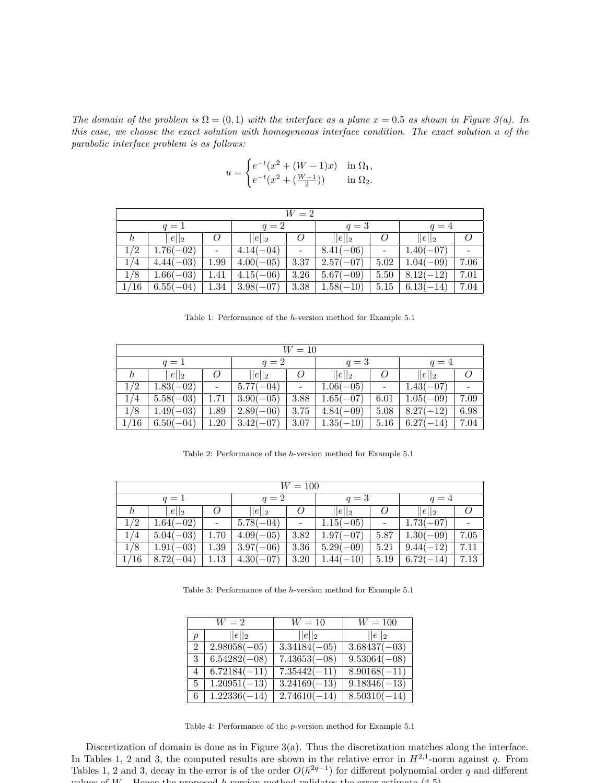The domain of the problem is  $\Omega = (0,1)$  with the interface as a plane  $x = 0.5$  as shown in Figure 3(a). In this case, we choose the exact solution with homogeneous interface condition. The exact solution u of the parabolic interface problem is as follows:

$$
u = \begin{cases} e^{-t}(x^2 + (W - 1)x) & \text{in } \Omega_1, \\ e^{-t}(x^2 + (\frac{W - 1}{2})) & \text{in } \Omega_2. \end{cases}
$$

|         | $W=2$       |                |                            |                |                       |          |                       |      |  |  |  |  |  |
|---------|-------------|----------------|----------------------------|----------------|-----------------------|----------|-----------------------|------|--|--|--|--|--|
|         | $q=1$       |                | $q=2$                      |                | $q=3$                 |          | $q=4$                 |      |  |  |  |  |  |
| $\hbar$ | $  e  _2$   | $\overline{O}$ | $  e  _2$                  | $\overline{O}$ | $  e  _2$             | $\omega$ | $  e  _2$             |      |  |  |  |  |  |
| 1/2     | $1.76(-02)$ |                | $4.14(-04)$                | $\overline{a}$ | $8.41(-06)$           |          | $1.40(-07)$           |      |  |  |  |  |  |
| 1/4     | $4.44(-03)$ | 1.99           | $ 4.00(-05) $              | 3.37           | $2.57(-07)$           |          | $5.02 \mid 1.04(-09)$ | 7.06 |  |  |  |  |  |
| 1/8     | $1.66(-03)$ | 1.41           | $4.15(-06)$                | 3.26           | $5.67(-09)$           |          | $5.50 \mid 8.12(-12)$ | 7.01 |  |  |  |  |  |
| 1/16    | $6.55(-04)$ |                | $1.34 \mid 3.98(-07) \mid$ |                | $3.38 \mid 1.58(-10)$ |          | $5.15 \mid 6.13(-14)$ | 7.04 |  |  |  |  |  |

Table 1: Performance of the h-version method for Example 5.1

| $W=10$                    |             |               |             |                          |             |                          |                      |      |  |  |  |  |
|---------------------------|-------------|---------------|-------------|--------------------------|-------------|--------------------------|----------------------|------|--|--|--|--|
|                           | $q=1$       |               | $q=2$       |                          | $q=3$       |                          | $q=4$                |      |  |  |  |  |
| $  e  _2$<br>O<br>$\hbar$ |             |               | $  e  _2$   | O                        | $  e  _2$   | O                        | $  e  _2$            |      |  |  |  |  |
| 1/2                       | $1.83(-02)$ | $\frac{1}{2}$ | $5.77(-04)$ | $\overline{\phantom{a}}$ | $1.06(-05)$ | $\overline{\phantom{a}}$ | $1.43(-07)$          |      |  |  |  |  |
| 1/4                       | $5.58(-03)$ | 1.71          | $3.90(-05)$ | 3.88                     | $1.65(-07)$ | 6.01                     | $1.05(-09)$          | 7.09 |  |  |  |  |
| 1/8                       | $1.49(-03)$ | 1.89          | $2.89(-06)$ | 3.75                     | $4.84(-09)$ | 5.08                     | $8.27(-12)$          | 6.98 |  |  |  |  |
| 1/16                      | $6.50(-04)$ | 1.20          | $3.42(-07)$ | 3.07                     | $1.35(-10)$ |                          | $5.16 \pm 6.27(-14)$ | 7.04 |  |  |  |  |

Table 2: Performance of the h-version method for Example 5.1

|                     | $W = 100$   |      |             |      |             |                          |             |      |  |  |  |  |  |
|---------------------|-------------|------|-------------|------|-------------|--------------------------|-------------|------|--|--|--|--|--|
|                     | $q=1$       |      | $q=2$       |      | $q=3$       |                          | $q=4$       |      |  |  |  |  |  |
| $  e  _2$<br>O<br>h |             |      | $  e  _2$   |      | $ e  _2$    | $\theta$                 | $  e  _2$   |      |  |  |  |  |  |
| 1/2                 | $1.64(-02)$ |      | $5.78(-04)$ |      | $1.15(-05)$ | $\overline{\phantom{0}}$ | $1.73(-07)$ |      |  |  |  |  |  |
| 1/4                 | $5.04(-03)$ | 1.70 | $4.09(-05)$ | 3.82 | $1.97(-07)$ | 5.87                     | $1.30(-09)$ | 7.05 |  |  |  |  |  |
| 1/8                 | $1.91(-03)$ | 1.39 | $3.97(-06)$ | 3.36 | $5.29(-09)$ | 5.21                     | $9.44(-12)$ | 7.11 |  |  |  |  |  |
| 1/16                | $8.72(-04)$ | 1.13 | $4.30(-07)$ | 3.20 | $1.44(-10)$ | 5.19                     | $6.72(-14)$ | 7.13 |  |  |  |  |  |

Table 3: Performance of the h-version method for Example 5.1

|                  | $W=2$          | $W=10$         | $W=100$                   |
|------------------|----------------|----------------|---------------------------|
| $\boldsymbol{p}$ | $  e  _2$      | $  e  _2$      | $  e  _2$                 |
| $\mathfrak{D}$   | $2.98058(-05)$ | $3.34184(-05)$ | $3.68437(-03)$            |
| 3                | $6.54282(-08)$ | $7.43653(-08)$ | $9.53064(-08)$            |
| 4                | $6.72184(-11)$ | $7.35442(-11)$ | $8.90168(-11)$            |
| 5                | $1.20951(-13)$ | $3.24169(-13)$ | $9.18346(-13)$            |
| 6                | $1.22336(-14)$ | $2.74610(-14)$ | $\overline{8.50310(-14)}$ |

Table 4: Performance of the p-version method for Example 5.1

Discretization of domain is done as in Figure 3(a). Thus the discretization matches along the interface. In Tables 1, 2 and 3, the computed results are shown in the relative error in  $H^{2,1}$ -norm against q. From Tables 1, 2 and 3, decay in the error is of the order  $O(h^{2q-1})$  for different polynomial order q and different cluse of  $W$  . Hence the proposed h-version method validates the error estimate  $(4.5)$ .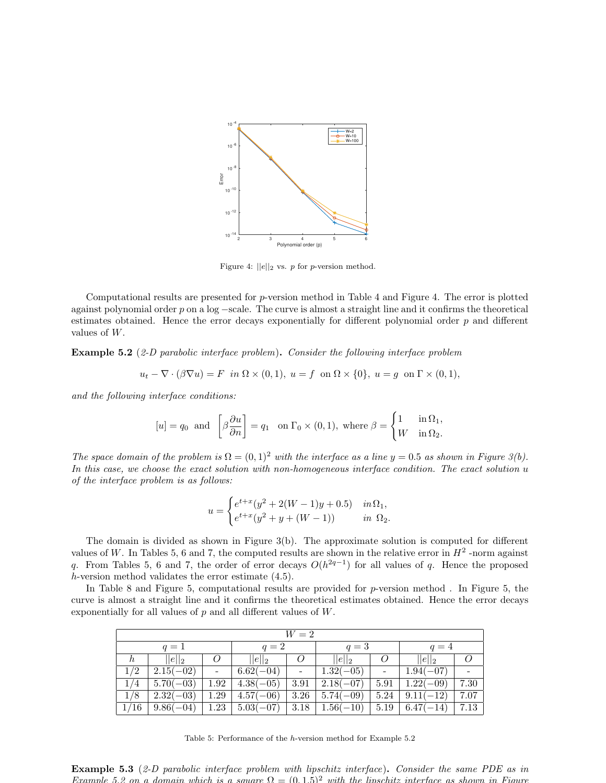

Figure 4:  $||e||_2$  vs. p for p-version method.

Computational results are presented for p-version method in Table 4 and Figure 4. The error is plotted against polynomial order p on a log −scale. The curve is almost a straight line and it confirms the theoretical estimates obtained. Hence the error decays exponentially for different polynomial order p and different values of W.

**Example 5.2** (2-D parabolic interface problem). Consider the following interface problem

$$
u_t - \nabla \cdot (\beta \nabla u) = F \text{ in } \Omega \times (0,1), u = f \text{ on } \Omega \times \{0\}, u = g \text{ on } \Gamma \times (0,1),
$$

and the following interface conditions:

$$
[u]=q_0 \text{ and } \begin{bmatrix} \beta \frac{\partial u}{\partial n} \end{bmatrix}=q_1 \text{ on } \Gamma_0 \times (0,1), \text{ where } \beta = \begin{cases} 1 & \text{in } \Omega_1, \\ W & \text{in } \Omega_2. \end{cases}
$$

The space domain of the problem is  $\Omega = (0,1)^2$  with the interface as a line  $y = 0.5$  as shown in Figure 3(b). In this case, we choose the exact solution with non-homogeneous interface condition. The exact solution u of the interface problem is as follows:

$$
u = \begin{cases} e^{t+x}(y^2 + 2(W-1)y + 0.5) & in \Omega_1, \\ e^{t+x}(y^2 + y + (W-1)) & in \Omega_2. \end{cases}
$$

The domain is divided as shown in Figure 3(b). The approximate solution is computed for different values of W. In Tables 5, 6 and 7, the computed results are shown in the relative error in  $H^2$ -norm against q. From Tables 5, 6 and 7, the order of error decays  $O(h^{2q-1})$  for all values of q. Hence the proposed h-version method validates the error estimate (4.5).

In Table 8 and Figure 5, computational results are provided for p-version method. In Figure 5, the curve is almost a straight line and it confirms the theoretical estimates obtained. Hence the error decays exponentially for all values of  $p$  and all different values of  $W$ .

|                                        | $W=2$       |  |                                                                      |                |                       |                |                       |      |  |  |  |  |  |
|----------------------------------------|-------------|--|----------------------------------------------------------------------|----------------|-----------------------|----------------|-----------------------|------|--|--|--|--|--|
|                                        | $q=1$       |  | $q=2$                                                                |                | $q=3$                 |                | $q=4$                 |      |  |  |  |  |  |
| $  e  _2$<br>$\overline{O}$<br>$\hbar$ |             |  | $  e  _2$                                                            | $\overline{O}$ | $  e  _2$             | $\overline{O}$ | $  e  _2$             |      |  |  |  |  |  |
| 1/2                                    | $2.15(-02)$ |  | $6.62(-04)$                                                          | $\frac{1}{2}$  | $1.32(-05)$           |                | $1.94(-07)$           |      |  |  |  |  |  |
| 1/4                                    | $5.70(-03)$ |  | $1.92 \mid 4.38(-05)$                                                |                | $3.91 \mid 2.18(-07)$ |                | $5.91 \mid 1.22(-09)$ | 7.30 |  |  |  |  |  |
| 1/8                                    | $2.32(-03)$ |  | $1.29 \mid 4.57(-06) \mid 3.26 \mid 5.74(-09)$                       |                |                       |                | $5.24 \mid 9.11(-12)$ | 7.07 |  |  |  |  |  |
| 1/16                                   |             |  | $9.86(-04)$   1.23   5.03(-07)   3.18   1.56(-10)   5.19   6.47(-14) |                |                       |                |                       | 7.13 |  |  |  |  |  |

Table 5: Performance of the h-version method for Example 5.2

Example 5.3 (2-D parabolic interface problem with lipschitz interface). Consider the same PDE as in Example 5.2 on a domain which is a square  $Q = (0, 1.5)^2$  with the lipschitz interface as shown in Figure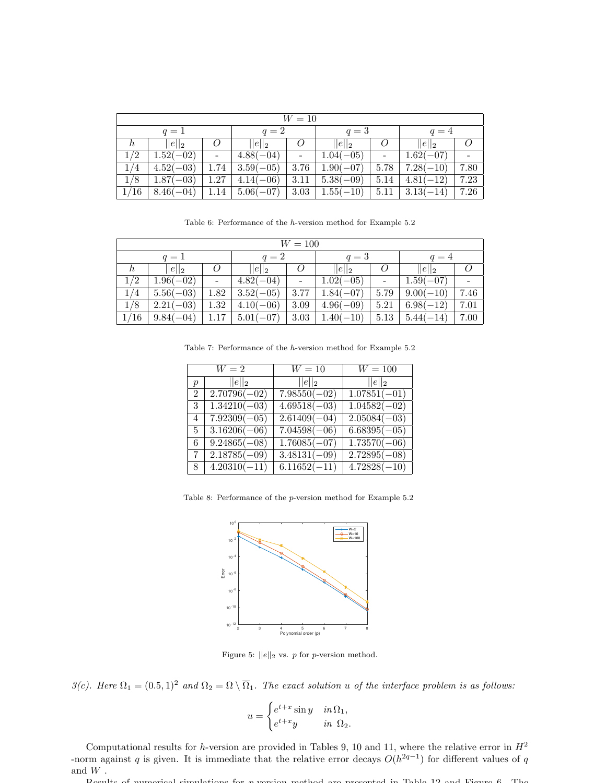|         | $W=10$      |      |             |      |             |      |             |      |  |  |  |  |  |
|---------|-------------|------|-------------|------|-------------|------|-------------|------|--|--|--|--|--|
|         | $q=1$       |      | $q=2$       |      | $q=3$       |      | $q=4$       |      |  |  |  |  |  |
| $\hbar$ | $  e  _2$   |      | $  e  _2$   |      | $ e  _2$    |      | $  e  _2$   |      |  |  |  |  |  |
| 1/2     | $1.52(-02)$ |      | $4.88(-04)$ |      | $1.04(-05)$ |      | $1.62(-07)$ |      |  |  |  |  |  |
| 1/4     | $4.52(-03)$ | 1.74 | $3.59(-05)$ | 3.76 | $1.90(-07)$ | 5.78 | $7.28(-10)$ | 7.80 |  |  |  |  |  |
| 1/8     | $1.87(-03)$ | 1.27 | $4.14(-06)$ | 3.11 | $5.38(-09)$ | 5.14 | $4.81(-12)$ | 7.23 |  |  |  |  |  |
| 1/16    | $8.46(-04)$ | 1.14 | $5.06(-07)$ | 3.03 | $1.55(-10)$ | 5.11 | $3.13(-14)$ | 7.26 |  |  |  |  |  |

Table 6: Performance of the h-version method for Example 5.2

|         | $W = 100$   |             |                |             |                |             |             |      |  |  |  |  |
|---------|-------------|-------------|----------------|-------------|----------------|-------------|-------------|------|--|--|--|--|
|         | $q=1$       |             | $q=2$          |             | $q=3$          |             | $q=4$       |      |  |  |  |  |
| $\hbar$ | $  e  _2$   | $\theta$    | $  e  _2$      | Ο           | $  e  _2$      | $\omega$    | $  e  _2$   |      |  |  |  |  |
| 1/2     | $1.96(-02)$ | $4.82(-04)$ | $\overline{a}$ | $1.02(-05)$ | $\overline{a}$ | $1.59(-07)$ |             |      |  |  |  |  |
| 1/4     | $5.56(-03)$ | $1.82\,$    | $3.52(-05)$    | 3.77        | $1.84(-07)$    | 5.79        | $9.00(-10)$ | 7.46 |  |  |  |  |
| 1/8     | $2.21(-03)$ | $1.32\,$    | $4.10(-06)$    | 3.09        | $4.96(-09)$    | 5.21        | $6.98(-12)$ | 7.01 |  |  |  |  |
| 1/16    | $9.84(-04)$ | $1.17\,$    | $5.01(-07)$    | 3.03        | $1.40(-10)$    | 5.13        | $5.44(-14)$ | 7.00 |  |  |  |  |

Table 7: Performance of the h-version method for Example 5.2

|                  | $W=2$                     | $W=10$                    | $W = 100$                 |
|------------------|---------------------------|---------------------------|---------------------------|
| $\boldsymbol{p}$ | $  e  _2$                 | $  e  _2$                 | $  e  _2$                 |
| $\overline{2}$   | $\overline{2.70796}(-02)$ | $\overline{7.98550(-02)}$ | $\overline{1.07851(-01)}$ |
| 3                | $1.34210(-03)$            | $4.69518(-03)$            | $1.04582(-02)$            |
| 4                | $7.92309(-05)$            | $\overline{2.61409}(-04)$ | $2.05084(-03)$            |
| 5.               | $3.16206(-06)$            | $7.04598(-06)$            | $6.68395(-05)$            |
| 6.               | $9.24865(-08)$            | $1.76085(-07)$            | $1.73570(-06)$            |
| 7                | $2.18785(-09)$            | $3.48131(-09)$            | $2.72895(-08)$            |
| 8                | $4.20310(-11)$            | $6.11652(-11)$            | $4.72828(-10)$            |
|                  |                           |                           |                           |

Table 8: Performance of the p-version method for Example 5.2



Figure 5:  $||e||_2$  vs. p for p-version method.

3(c). Here  $\Omega_1 = (0.5, 1)^2$  and  $\Omega_2 = \Omega \setminus \overline{\Omega}_1$ . The exact solution u of the interface problem is as follows:

$$
u = \begin{cases} e^{t+x} \sin y & \text{in } \Omega_1, \\ e^{t+x}y & \text{in } \Omega_2. \end{cases}
$$

Computational results for h-version are provided in Tables 9, 10 and 11, where the relative error in  $H^2$ -norm against q is given. It is immediate that the relative error decays  $O(h^{2q-1})$  for different values of q and  $\boldsymbol{W}$  .

Results of numerical simulations for p-version method are presented in Table 12 and Figure 6. The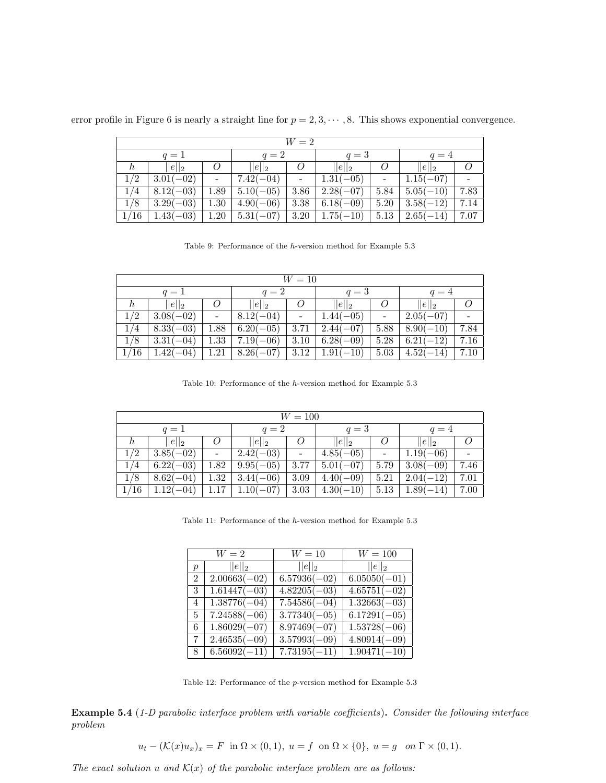|  |  |  |  |  |  |  |  |  |  |  |  | error profile in Figure 6 is nearly a straight line for $p = 2, 3, \dots, 8$ . This shows exponential convergence. |  |  |
|--|--|--|--|--|--|--|--|--|--|--|--|--------------------------------------------------------------------------------------------------------------------|--|--|
|--|--|--|--|--|--|--|--|--|--|--|--|--------------------------------------------------------------------------------------------------------------------|--|--|

| $W=2$   |             |      |             |      |             |      |               |      |  |  |  |
|---------|-------------|------|-------------|------|-------------|------|---------------|------|--|--|--|
|         | $q=1$       |      | $q=2$       |      | $q=3$       |      | $q=4$         |      |  |  |  |
| $\hbar$ | $  e  _2$   |      | $  e  _2$   |      | $  e  _2$   | O    | $  e  _2$     |      |  |  |  |
| 1/2     | $3.01(-02)$ |      | $7.42(-04)$ |      | $1.31(-05)$ |      | $1.15(-07)$   |      |  |  |  |
| 1/4     | $8.12(-03)$ | 1.89 | $5.10(-05)$ | 3.86 | $2.28(-07)$ | 5.84 | $  5.05(-10)$ | 7.83 |  |  |  |
| 1/8     | $3.29(-03)$ | 1.30 | $4.90(-06)$ | 3.38 | $6.18(-09)$ | 5.20 | $3.58(-12)$   | 7.14 |  |  |  |
| 1/16    | $1.43(-03)$ | 1.20 | $5.31(-07)$ | 3.20 | $1.75(-10)$ | 5.13 | $2.65(-14)$   | 7.07 |  |  |  |

Table 9: Performance of the h-version method for Example 5.3

|                      | $W=10$      |      |             |      |             |          |              |      |  |  |  |  |  |
|----------------------|-------------|------|-------------|------|-------------|----------|--------------|------|--|--|--|--|--|
|                      | $q=1$       |      | $q=2$       |      | $q=3$       |          | $q=4$        |      |  |  |  |  |  |
| $  e  _2$<br>$\hbar$ |             |      | $  e  _2$   |      | $  e  _2$   | $\omega$ | $  e  _2$    |      |  |  |  |  |  |
| 1/2                  | $3.08(-02)$ |      | $8.12(-04)$ |      | $1.44(-05)$ |          | $2.05(-07)$  |      |  |  |  |  |  |
| /4                   | $8.33(-03)$ | 1.88 | $6.20(-05)$ | 3.71 | $2.44(-07)$ | 5.88     | $8.90(-10)$  | 7.84 |  |  |  |  |  |
| 1/8                  | $3.31(-04)$ | 1.33 | $7.19(-06)$ | 3.10 | $6.28(-09)$ | 5.28     | $6.21(-12)$  | 7.16 |  |  |  |  |  |
| 1/16                 | $1.42(-04)$ | 1.21 | $8.26(-07)$ | 3.12 | $1.91(-10)$ | 5.03     | $ 4.52(-14)$ | 7.10 |  |  |  |  |  |

Table 10: Performance of the h-version method for Example 5.3

|                      | $W=100$     |      |             |      |             |      |             |      |  |  |  |  |  |
|----------------------|-------------|------|-------------|------|-------------|------|-------------|------|--|--|--|--|--|
|                      | $q=1$       |      | $q=2$       |      | $q=3$       |      | $q=4$       |      |  |  |  |  |  |
| $  e  _2$<br>$\hbar$ |             |      | $  e  _2$   |      | $  e  _2$   |      | $  e  _2$   |      |  |  |  |  |  |
| 1/2                  | $3.85(-02)$ |      | $2.42(-03)$ |      | $4.85(-05)$ |      | $1.19(-06)$ |      |  |  |  |  |  |
| 1/4                  | $6.22(-03)$ | 1.82 | $9.95(-05)$ | 3.77 | $5.01(-07)$ | 5.79 | $3.08(-09)$ | 7.46 |  |  |  |  |  |
| 1/8                  | $8.62(-04)$ | 1.32 | $3.44(-06)$ | 3.09 | $4.40(-09)$ | 5.21 | $2.04(-12)$ | 7.01 |  |  |  |  |  |
| 1/16                 | $1.12(-04)$ |      | $1.10(-07)$ | 3.03 | $4.30(-10)$ | 5.13 | $1.89(-14)$ | 7.00 |  |  |  |  |  |

Table 11: Performance of the  $h\hbox{-version}$  method for Example 5.3

|                  | $W=2$          | $W=10$                    | $W = 100$                 |
|------------------|----------------|---------------------------|---------------------------|
| $\boldsymbol{p}$ | $  e  _2$      | $  e  _2$                 | $  e  _2$                 |
| $\mathfrak{D}$   | $2.00663(-02)$ | $6.57936(-02)$            | $6.05050(-01)$            |
| 3                | $1.61447(-03)$ | $4.82205(-03)$            | $4.65751(-02)$            |
| 4                | $1.38776(-04)$ | $7.54586(-04)$            | $1.32663(-03)$            |
| 5                | $7.24588(-06)$ | $3.77340(-05)$            | $6.17291(-05)$            |
| 6                | $1.86029(-07)$ | $8.97469(-07)$            | $1.53728(-06)$            |
| 7                | $2.46535(-09)$ | $3.57993(-09)$            | $4.80914(-09)$            |
| 8                | $6.56092(-11)$ | $\overline{7.73195(-11)}$ | $\overline{1.90471(-10)}$ |

Table 12: Performance of the p-version method for Example 5.3

Example 5.4 (1-D parabolic interface problem with variable coefficients). Consider the following interface problem

$$
u_t - (\mathcal{K}(x)u_x)_x = F \text{ in } \Omega \times (0,1), u = f \text{ on } \Omega \times \{0\}, u = g \text{ on } \Gamma \times (0,1).
$$

The exact solution u and  $\mathcal{K}(x)$  of the parabolic interface problem are as follows: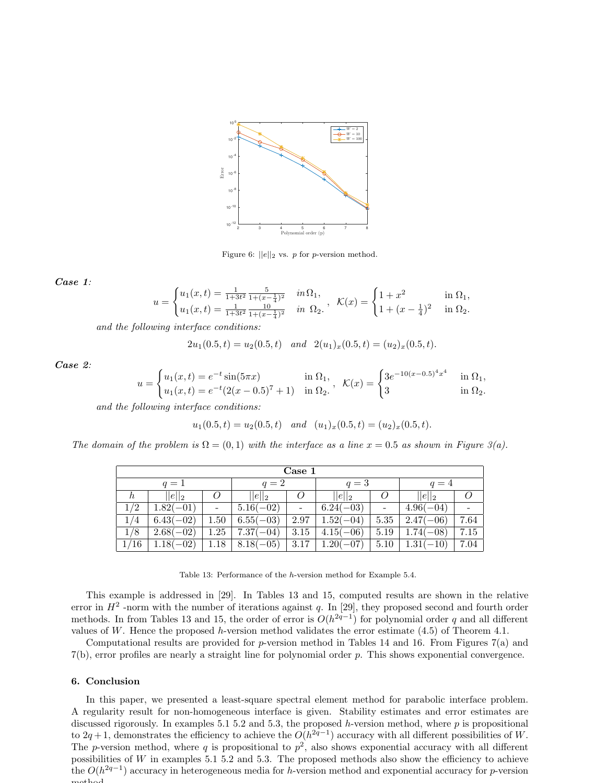

Figure 6:  $||e||_2$  vs. p for p-version method.

#### Case 1:

$$
u = \begin{cases} u_1(x,t) = \frac{1}{1+3t^2} \frac{5}{1+(x-\frac{1}{4})^2} & in \ \Omega_1, \\ u_1(x,t) = \frac{1}{1+3t^2} \frac{10}{1+(x-\frac{1}{4})^2} & in \ \Omega_2. \end{cases}, \quad \mathcal{K}(x) = \begin{cases} 1+x^2 & in \ \Omega_1, \\ 1+(x-\frac{1}{4})^2 & in \ \Omega_2. \end{cases}
$$

and the following interface conditions:

 $2u_1(0.5, t) = u_2(0.5, t)$  and  $2(u_1)_x(0.5, t) = (u_2)_x(0.5, t).$ 

Case 2:

$$
u = \begin{cases} u_1(x,t) = e^{-t} \sin(5\pi x) & \text{in } \Omega_1, \\ u_1(x,t) = e^{-t} (2(x-0.5)^7 + 1) & \text{in } \Omega_2. \end{cases}, \quad \mathcal{K}(x) = \begin{cases} 3e^{-10(x-0.5)^4 x^4} & \text{in } \Omega_1, \\ 3 & \text{in } \Omega_2. \end{cases}
$$

and the following interface conditions:

$$
u_1(0.5, t) = u_2(0.5, t)
$$
 and  $(u_1)_x(0.5, t) = (u_2)_x(0.5, t).$ 

The domain of the problem is  $\Omega = (0, 1)$  with the interface as a line  $x = 0.5$  as shown in Figure 3(a).

| Case 1  |             |       |             |                          |             |                 |             |                          |
|---------|-------------|-------|-------------|--------------------------|-------------|-----------------|-------------|--------------------------|
| $q=1$   |             | $q=2$ |             | $q=3$                    |             | $q=4$           |             |                          |
| $\hbar$ | $  e  _2$   | O     | $  e  _2$   |                          | $  e  _2$   | O               | $  e  _2$   |                          |
| 1/2     | $1.82(-01)$ |       | $5.16(-02)$ | $\overline{\phantom{a}}$ | $6.24(-03)$ | $\qquad \qquad$ | $4.96(-04)$ | $\overline{\phantom{0}}$ |
| 1/4     | $6.43(-02)$ | 1.50  | $6.55(-03)$ | 2.97                     | $1.52(-04)$ | 5.35            | $2.47(-06)$ | 7.64                     |
| 1/8     | $2.68(-02)$ | 1.25  | $7.37(-04)$ | 3.15                     | $4.15(-06)$ | 5.19            | $1.74(-08)$ | 7.15                     |
| 1/16    | $1.18(-02)$ | 1.18  | $8.18(-05)$ | 3.17                     | $1.20(-07)$ | 5.10            | $1.31(-10)$ | 7.04                     |

Table 13: Performance of the h-version method for Example 5.4.

This example is addressed in [29]. In Tables 13 and 15, computed results are shown in the relative error in  $H^2$  -norm with the number of iterations against q. In [29], they proposed second and fourth order methods. In from Tables 13 and 15, the order of error is  $O(h^{2q-1})$  for polynomial order q and all different values of W. Hence the proposed h-version method validates the error estimate  $(4.5)$  of Theorem 4.1.

Computational results are provided for p-version method in Tables 14 and 16. From Figures 7(a) and 7(b), error profiles are nearly a straight line for polynomial order p. This shows exponential convergence.

#### 6. Conclusion

In this paper, we presented a least-square spectral element method for parabolic interface problem. A regularity result for non-homogeneous interface is given. Stability estimates and error estimates are discussed rigorously. In examples 5.1 5.2 and 5.3, the proposed h-version method, where  $p$  is propositional to 2q + 1, demonstrates the efficiency to achieve the  $O(h^{2q-1})$  accuracy with all different possibilities of W. The *p*-version method, where q is propositional to  $p^2$ , also shows exponential accuracy with all different possibilities of W in examples 5.1 5.2 and 5.3. The proposed methods also show the efficiency to achieve the  $O(h^{2q-1})$  accuracy in heterogeneous media for h-version method and exponential accuracy for p-version method.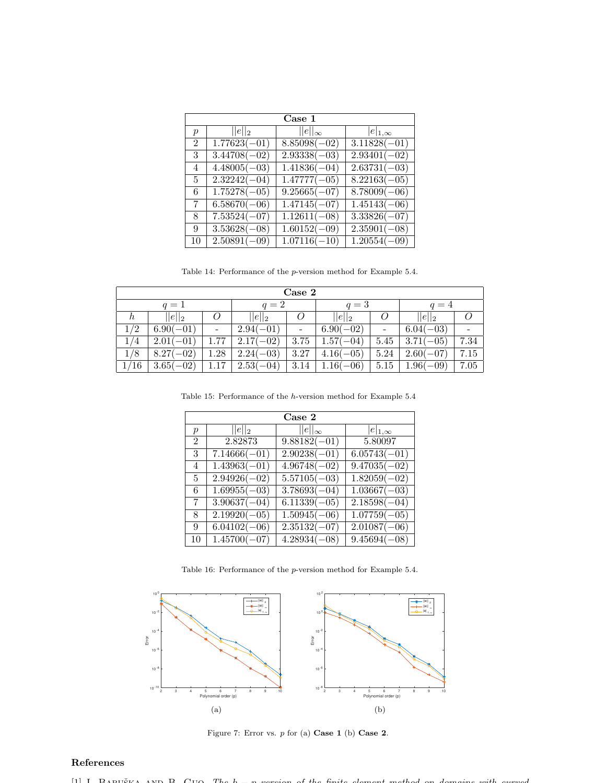| Case 1         |                           |                  |                           |  |  |  |
|----------------|---------------------------|------------------|---------------------------|--|--|--|
| $\mathcal{p}$  | $  e  _2$                 | $  e  _{\infty}$ | $ e _{1,\infty}$          |  |  |  |
| $\mathfrak{D}$ | $\overline{1.77623(-01)}$ | $8.85098(-02)$   | $3.11828(-01)$            |  |  |  |
| 3              | $3.44708(-02)$            | $2.93338(-03)$   | $\overline{2.93401(-02)}$ |  |  |  |
| $\overline{4}$ | $4.48005(-03)$            | $1.41836(-04)$   | $2.63731(-03)$            |  |  |  |
| 5              | $2.32242(-04)$            | $1.47777(-05)$   | $8.22163(-05)$            |  |  |  |
| 6              | $1.75278(-05)$            | $9.25665(-07)$   | $8.78009(-06)$            |  |  |  |
| 7              | $6.58670(-06)$            | $1.47145(-07)$   | $1.45143(-06)$            |  |  |  |
| 8              | $7.53524(-07)$            | $1.12611(-08)$   | $3.33826(-07)$            |  |  |  |
| 9              | $3.53628(-08)$            | $1.60152(-09)$   | $2.35901(-08)$            |  |  |  |
| 10             | $2.50891(-09)$            | $1.07116(-10)$   | $1.20554(-09)$            |  |  |  |

Table 14: Performance of the p-version method for Example 5.4.

| Case 2  |             |      |             |                 |             |                |             |                          |
|---------|-------------|------|-------------|-----------------|-------------|----------------|-------------|--------------------------|
| $q=1$   |             |      | $q=2$       |                 | $q=3$       |                | $q=4$       |                          |
| $\hbar$ | $  e  _2$   | O    | $  e  _2$   | $\theta$        | $  e  _2$   | O              | $  e  _2$   |                          |
| 1/2     | $6.90(-01)$ | -    | $2.94(-01)$ | $\qquad \qquad$ | $6.90(-02)$ | $\overline{a}$ | $6.04(-03)$ | $\overline{\phantom{0}}$ |
| 1/4     | $2.01(-01)$ | 1.77 | $2.17(-02)$ | 3.75            | $1.57(-04)$ | 5.45           | $3.71(-05)$ | 7.34                     |
| 1/8     | $8.27(-02)$ | 1.28 | $2.24(-03)$ | 3.27            | $4.16(-05)$ | 5.24           | $2.60(-07)$ | 7.15                     |
| 1/16    | $3.65(-02)$ | 1.17 | $2.53(-04)$ | 3.14            | $1.16(-06)$ | 5.15           | $1.96(-09)$ | 7.05                     |

Table 15: Performance of the  $h\text{-version}$  method for Example 5.4

| Case 2           |                           |                           |                  |  |  |  |  |
|------------------|---------------------------|---------------------------|------------------|--|--|--|--|
| $\boldsymbol{p}$ | $  e  _2$                 | $  e  _{\infty}$          | $ e _{1,\infty}$ |  |  |  |  |
| $\mathfrak{D}$   | 2.82873                   | $\overline{9.88182(-01)}$ | 5.80097          |  |  |  |  |
| 3                | $7.14666(-01)$            | $2.90238(-01)$            | $6.05743(-01)$   |  |  |  |  |
| 4                | $1.43963(-01)$            | $4.96748(-02)$            | $9.47035(-02)$   |  |  |  |  |
| $\overline{5}$   | $2.94926(-02)$            | $5.57105(-03)$            | $1.82059(-02)$   |  |  |  |  |
| 6                | $\overline{1.69955(-03)}$ | $\overline{3.78693(-04)}$ | $1.03667(-03)$   |  |  |  |  |
| $\overline{7}$   | $3.90637(-04)$            | $6.11339(-05)$            | $2.18598(-04)$   |  |  |  |  |
| 8                | $2.19920(-05)$            | $1.50945(-06)$            | $1.07759(-05)$   |  |  |  |  |
| 9                | $6.04102(-06)$            | $\overline{2.35132(-07)}$ | $2.01087(-06)$   |  |  |  |  |
| 10               | $1.45700(-07)$            | $\overline{4.28934(-08)}$ | $9.45694(-08)$   |  |  |  |  |

Table 16: Performance of the p-version method for Example 5.4.



Figure 7: Error vs.  $p$  for (a) Case 1 (b) Case 2.

## References

 $[1]$  I. Babuč $V_A$  and B. Guo, The h = p version of the finite element method on domains with curved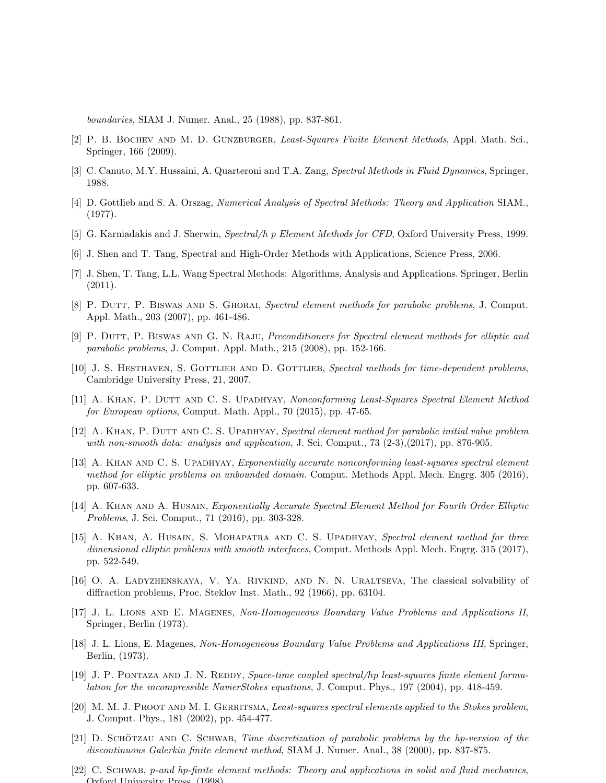boundaries, SIAM J. Numer. Anal., 25 (1988), pp. 837-861.

- [2] P. B. BOCHEV AND M. D. GUNZBURGER, Least-Squares Finite Element Methods, Appl. Math. Sci., Springer, 166 (2009).
- [3] C. Canuto, M.Y. Hussaini, A. Quarteroni and T.A. Zang, Spectral Methods in Fluid Dynamics, Springer, 1988.
- [4] D. Gottlieb and S. A. Orszag, Numerical Analysis of Spectral Methods: Theory and Application SIAM., (1977).
- [5] G. Karniadakis and J. Sherwin, Spectral/h p Element Methods for CFD, Oxford University Press, 1999.
- [6] J. Shen and T. Tang, Spectral and High-Order Methods with Applications, Science Press, 2006.
- [7] J. Shen, T. Tang, L.L. Wang Spectral Methods: Algorithms, Analysis and Applications. Springer, Berlin (2011).
- [8] P. DUTT, P. BISWAS AND S. GHORAI, Spectral element methods for parabolic problems, J. Comput. Appl. Math., 203 (2007), pp. 461-486.
- [9] P. DUTT, P. BISWAS AND G. N. RAJU, Preconditioners for Spectral element methods for elliptic and parabolic problems, J. Comput. Appl. Math., 215 (2008), pp. 152-166.
- [10] J. S. HESTHAVEN, S. GOTTLIEB AND D. GOTTLIEB, Spectral methods for time-dependent problems, Cambridge University Press, 21, 2007.
- [11] A. KHAN, P. DUTT AND C. S. UPADHYAY, Nonconforming Least-Squares Spectral Element Method for European options, Comput. Math. Appl., 70 (2015), pp. 47-65.
- [12] A. KHAN, P. DUTT AND C. S. UPADHYAY, Spectral element method for parabolic initial value problem with non-smooth data: analysis and application, J. Sci. Comput., 73 (2-3),(2017), pp. 876-905.
- [13] A. KHAN AND C. S. UPADHYAY, Exponentially accurate nonconforming least-squares spectral element method for elliptic problems on unbounded domain. Comput. Methods Appl. Mech. Engrg. 305 (2016), pp. 607-633.
- [14] A. KHAN AND A. HUSAIN, Exponentially Accurate Spectral Element Method for Fourth Order Elliptic Problems, J. Sci. Comput., 71 (2016), pp. 303-328.
- [15] A. KHAN, A. HUSAIN, S. MOHAPATRA AND C. S. UPADHYAY, Spectral element method for three dimensional elliptic problems with smooth interfaces, Comput. Methods Appl. Mech. Engrg. 315 (2017), pp. 522-549.
- [16] O. A. Ladyzhenskaya, V. Ya. Rivkind, and N. N. Uraltseva, The classical solvability of diffraction problems, Proc. Steklov Inst. Math., 92 (1966), pp. 63104.
- [17] J. L. Lions and E. Magenes, Non-Homogeneous Boundary Value Problems and Applications II, Springer, Berlin (1973).
- [18] J. L. Lions, E. Magenes, Non-Homogeneous Boundary Value Problems and Applications III, Springer, Berlin, (1973).
- [19] J. P. PONTAZA AND J. N. REDDY, Space-time coupled spectral/hp least-squares finite element formulation for the incompressible NavierStokes equations, J. Comput. Phys., 197 (2004), pp. 418-459.
- [20] M. M. J. PROOT AND M. I. GERRITSMA, Least-squares spectral elements applied to the Stokes problem, J. Comput. Phys., 181 (2002), pp. 454-477.
- $[21]$  D. SCHÖTZAU AND C. SCHWAB, *Time discretization of parabolic problems by the hp-version of the* discontinuous Galerkin finite element method, SIAM J. Numer. Anal., 38 (2000), pp. 837-875.
- [22] C. SCHWAB, p-and hp-finite element methods: Theory and applications in solid and fluid mechanics, Oxford University Press, (1998).